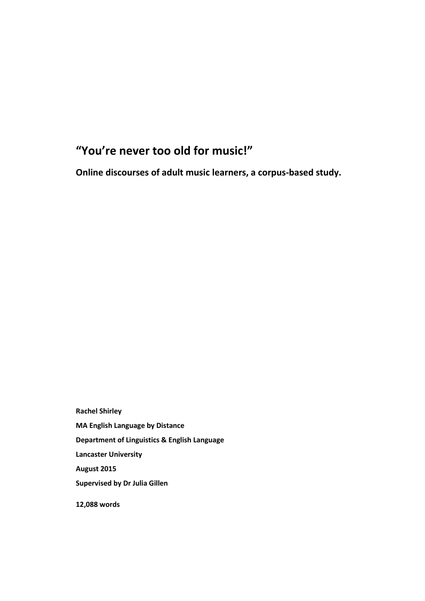# **"You're never too old for music!"**

**Online discourses of adult music learners, a corpus-based study.**

**Rachel Shirley MA English Language by Distance Department of Linguistics & English Language Lancaster University August 2015 Supervised by Dr Julia Gillen**

**12,088 words**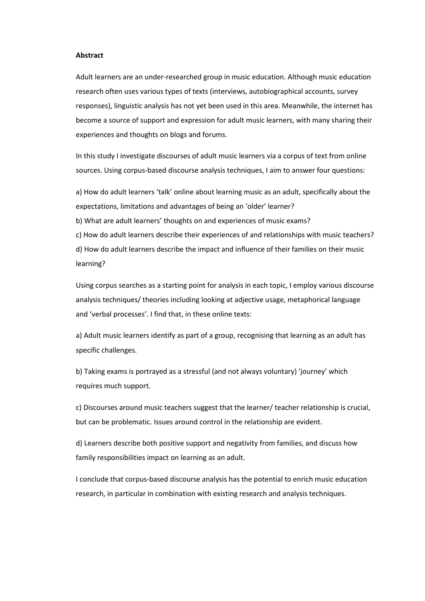#### **Abstract**

Adult learners are an under-researched group in music education. Although music education research often uses various types of texts (interviews, autobiographical accounts, survey responses), linguistic analysis has not yet been used in this area. Meanwhile, the internet has become a source of support and expression for adult music learners, with many sharing their experiences and thoughts on blogs and forums.

In this study I investigate discourses of adult music learners via a corpus of text from online sources. Using corpus-based discourse analysis techniques, I aim to answer four questions:

a) How do adult learners 'talk' online about learning music as an adult, specifically about the expectations, limitations and advantages of being an 'older' learner?

b) What are adult learners' thoughts on and experiences of music exams?

c) How do adult learners describe their experiences of and relationships with music teachers? d) How do adult learners describe the impact and influence of their families on their music learning?

Using corpus searches as a starting point for analysis in each topic, I employ various discourse analysis techniques/ theories including looking at adjective usage, metaphorical language and 'verbal processes'. I find that, in these online texts:

a) Adult music learners identify as part of a group, recognising that learning as an adult has specific challenges.

b) Taking exams is portrayed as a stressful (and not always voluntary) 'journey' which requires much support.

c) Discourses around music teachers suggest that the learner/ teacher relationship is crucial, but can be problematic. Issues around control in the relationship are evident.

d) Learners describe both positive support and negativity from families, and discuss how family responsibilities impact on learning as an adult.

I conclude that corpus-based discourse analysis has the potential to enrich music education research, in particular in combination with existing research and analysis techniques.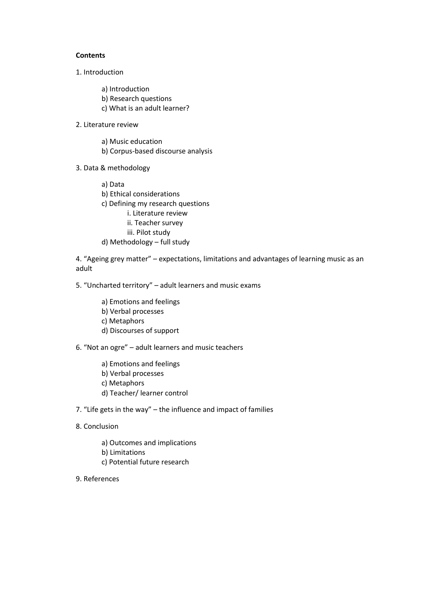#### **Contents**

- 1. Introduction
	- a) Introduction
	- b) Research questions
	- c) What is an adult learner?

# 2. Literature review

- a) Music education b) Corpus-based discourse analysis
- 3. Data & methodology
	- a) Data
	- b) Ethical considerations
	- c) Defining my research questions
		- i. Literature review
		- ii. Teacher survey
		- iii. Pilot study
	- d) Methodology full study

4. "Ageing grey matter" – expectations, limitations and advantages of learning music as an adult

5. "Uncharted territory" – adult learners and music exams

- a) Emotions and feelings
- b) Verbal processes
- c) Metaphors
- d) Discourses of support
- 6. "Not an ogre" adult learners and music teachers
	- a) Emotions and feelings b) Verbal processes c) Metaphors d) Teacher/ learner control
- 7. "Life gets in the way" the influence and impact of families
- 8. Conclusion
	- a) Outcomes and implications
	- b) Limitations
	- c) Potential future research
- 9. References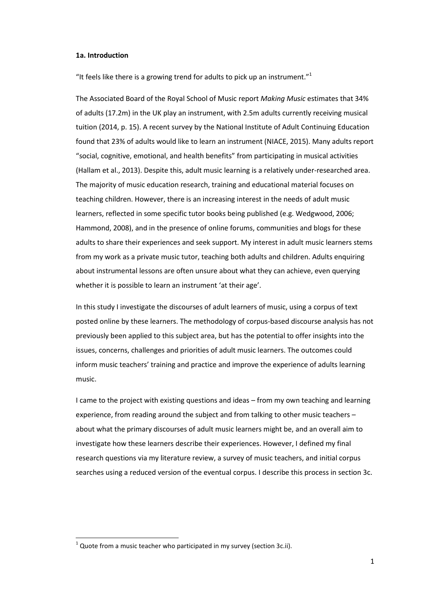#### **1a. Introduction**

"It feels like there is a growing trend for adults to pick up an instrument." $1$ 

The Associated Board of the Royal School of Music report *Making Music* estimates that 34% of adults (17.2m) in the UK play an instrument, with 2.5m adults currently receiving musical tuition (2014, p. 15). A recent survey by the National Institute of Adult Continuing Education found that 23% of adults would like to learn an instrument (NIACE, 2015). Many adults report "social, cognitive, emotional, and health benefits" from participating in musical activities (Hallam et al., 2013). Despite this, adult music learning is a relatively under-researched area. The majority of music education research, training and educational material focuses on teaching children. However, there is an increasing interest in the needs of adult music learners, reflected in some specific tutor books being published (e.g. Wedgwood, 2006; Hammond, 2008), and in the presence of online forums, communities and blogs for these adults to share their experiences and seek support. My interest in adult music learners stems from my work as a private music tutor, teaching both adults and children. Adults enquiring about instrumental lessons are often unsure about what they can achieve, even querying whether it is possible to learn an instrument 'at their age'.

In this study I investigate the discourses of adult learners of music, using a corpus of text posted online by these learners. The methodology of corpus-based discourse analysis has not previously been applied to this subject area, but has the potential to offer insights into the issues, concerns, challenges and priorities of adult music learners. The outcomes could inform music teachers' training and practice and improve the experience of adults learning music.

I came to the project with existing questions and ideas – from my own teaching and learning experience, from reading around the subject and from talking to other music teachers – about what the primary discourses of adult music learners might be, and an overall aim to investigate how these learners describe their experiences. However, I defined my final research questions via my literature review, a survey of music teachers, and initial corpus searches using a reduced version of the eventual corpus. I describe this process in section 3c.

 $\overline{\phantom{a}}$ 

 $^1$  Quote from a music teacher who participated in my survey (section 3c.ii).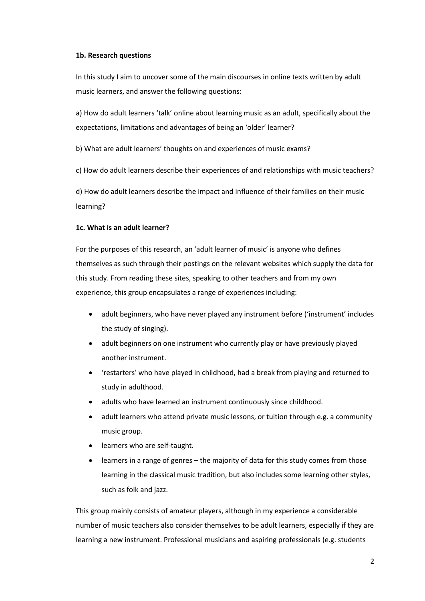# **1b. Research questions**

In this study I aim to uncover some of the main discourses in online texts written by adult music learners, and answer the following questions:

a) How do adult learners 'talk' online about learning music as an adult, specifically about the expectations, limitations and advantages of being an 'older' learner?

b) What are adult learners' thoughts on and experiences of music exams?

c) How do adult learners describe their experiences of and relationships with music teachers?

d) How do adult learners describe the impact and influence of their families on their music learning?

# **1c. What is an adult learner?**

For the purposes of this research, an 'adult learner of music' is anyone who defines themselves as such through their postings on the relevant websites which supply the data for this study. From reading these sites, speaking to other teachers and from my own experience, this group encapsulates a range of experiences including:

- adult beginners, who have never played any instrument before ('instrument' includes the study of singing).
- adult beginners on one instrument who currently play or have previously played another instrument.
- 'restarters' who have played in childhood, had a break from playing and returned to study in adulthood.
- adults who have learned an instrument continuously since childhood.
- adult learners who attend private music lessons, or tuition through e.g. a community music group.
- learners who are self-taught.
- learners in a range of genres the majority of data for this study comes from those learning in the classical music tradition, but also includes some learning other styles, such as folk and jazz.

This group mainly consists of amateur players, although in my experience a considerable number of music teachers also consider themselves to be adult learners, especially if they are learning a new instrument. Professional musicians and aspiring professionals (e.g. students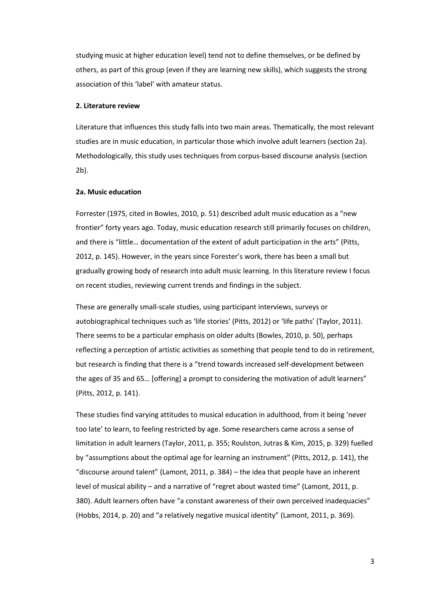studying music at higher education level) tend not to define themselves, or be defined by others, as part of this group (even if they are learning new skills), which suggests the strong association of this 'label' with amateur status.

#### **2. Literature review**

Literature that influences this study falls into two main areas. Thematically, the most relevant studies are in music education, in particular those which involve adult learners (section 2a). Methodologically, this study uses techniques from corpus-based discourse analysis (section 2b).

#### **2a. Music education**

Forrester (1975, cited in Bowles, 2010, p. 51) described adult music education as a "new frontier" forty years ago. Today, music education research still primarily focuses on children, and there is "little… documentation of the extent of adult participation in the arts" (Pitts, 2012, p. 145). However, in the years since Forester's work, there has been a small but gradually growing body of research into adult music learning. In this literature review I focus on recent studies, reviewing current trends and findings in the subject.

These are generally small-scale studies, using participant interviews, surveys or autobiographical techniques such as 'life stories' (Pitts, 2012) or 'life paths' (Taylor, 2011). There seems to be a particular emphasis on older adults (Bowles, 2010, p. 50), perhaps reflecting a perception of artistic activities as something that people tend to do in retirement, but research is finding that there is a "trend towards increased self-development between the ages of 35 and 65… [offering] a prompt to considering the motivation of adult learners" (Pitts, 2012, p. 141).

These studies find varying attitudes to musical education in adulthood, from it being 'never too late' to learn, to feeling restricted by age. Some researchers came across a sense of limitation in adult learners (Taylor, 2011, p. 355; Roulston, Jutras & Kim, 2015, p. 329) fuelled by "assumptions about the optimal age for learning an instrument" (Pitts, 2012, p. 141), the "discourse around talent" (Lamont, 2011, p. 384) – the idea that people have an inherent level of musical ability – and a narrative of "regret about wasted time" (Lamont, 2011, p. 380). Adult learners often have "a constant awareness of their own perceived inadequacies" (Hobbs, 2014, p. 20) and "a relatively negative musical identity" (Lamont, 2011, p. 369).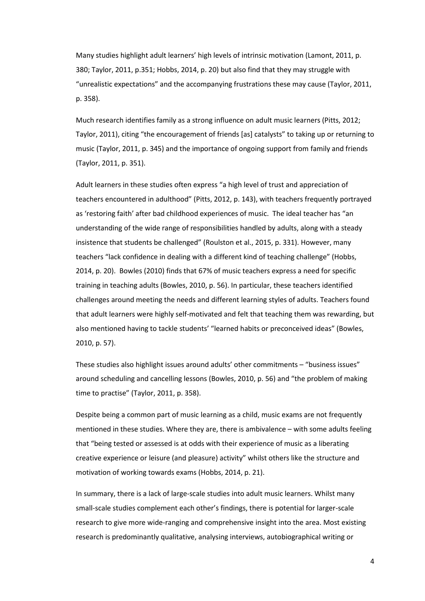Many studies highlight adult learners' high levels of intrinsic motivation (Lamont, 2011, p. 380; Taylor, 2011, p.351; Hobbs, 2014, p. 20) but also find that they may struggle with "unrealistic expectations" and the accompanying frustrations these may cause (Taylor, 2011, p. 358).

Much research identifies family as a strong influence on adult music learners (Pitts, 2012; Taylor, 2011), citing "the encouragement of friends [as] catalysts" to taking up or returning to music (Taylor, 2011, p. 345) and the importance of ongoing support from family and friends (Taylor, 2011, p. 351).

Adult learners in these studies often express "a high level of trust and appreciation of teachers encountered in adulthood" (Pitts, 2012, p. 143), with teachers frequently portrayed as 'restoring faith' after bad childhood experiences of music. The ideal teacher has "an understanding of the wide range of responsibilities handled by adults, along with a steady insistence that students be challenged" (Roulston et al., 2015, p. 331). However, many teachers "lack confidence in dealing with a different kind of teaching challenge" (Hobbs, 2014, p. 20). Bowles (2010) finds that 67% of music teachers express a need for specific training in teaching adults (Bowles, 2010, p. 56). In particular, these teachers identified challenges around meeting the needs and different learning styles of adults. Teachers found that adult learners were highly self-motivated and felt that teaching them was rewarding, but also mentioned having to tackle students' "learned habits or preconceived ideas" (Bowles, 2010, p. 57).

These studies also highlight issues around adults' other commitments – "business issues" around scheduling and cancelling lessons (Bowles, 2010, p. 56) and "the problem of making time to practise" (Taylor, 2011, p. 358).

Despite being a common part of music learning as a child, music exams are not frequently mentioned in these studies. Where they are, there is ambivalence – with some adults feeling that "being tested or assessed is at odds with their experience of music as a liberating creative experience or leisure (and pleasure) activity" whilst others like the structure and motivation of working towards exams (Hobbs, 2014, p. 21).

In summary, there is a lack of large-scale studies into adult music learners. Whilst many small-scale studies complement each other's findings, there is potential for larger-scale research to give more wide-ranging and comprehensive insight into the area. Most existing research is predominantly qualitative, analysing interviews, autobiographical writing or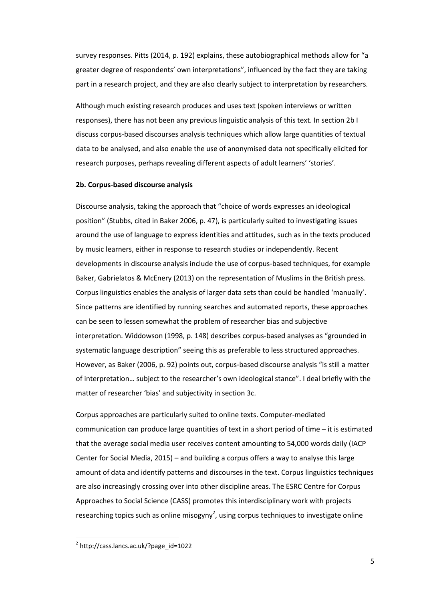survey responses. Pitts (2014, p. 192) explains, these autobiographical methods allow for "a greater degree of respondents' own interpretations", influenced by the fact they are taking part in a research project, and they are also clearly subject to interpretation by researchers.

Although much existing research produces and uses text (spoken interviews or written responses), there has not been any previous linguistic analysis of this text. In section 2b I discuss corpus-based discourses analysis techniques which allow large quantities of textual data to be analysed, and also enable the use of anonymised data not specifically elicited for research purposes, perhaps revealing different aspects of adult learners' 'stories'.

#### **2b. Corpus-based discourse analysis**

Discourse analysis, taking the approach that "choice of words expresses an ideological position" (Stubbs, cited in Baker 2006, p. 47), is particularly suited to investigating issues around the use of language to express identities and attitudes, such as in the texts produced by music learners, either in response to research studies or independently. Recent developments in discourse analysis include the use of corpus-based techniques, for example Baker, Gabrielatos & McEnery (2013) on the representation of Muslims in the British press. Corpus linguistics enables the analysis of larger data sets than could be handled 'manually'. Since patterns are identified by running searches and automated reports, these approaches can be seen to lessen somewhat the problem of researcher bias and subjective interpretation. Widdowson (1998, p. 148) describes corpus-based analyses as "grounded in systematic language description" seeing this as preferable to less structured approaches. However, as Baker (2006, p. 92) points out, corpus-based discourse analysis "is still a matter of interpretation… subject to the researcher's own ideological stance". I deal briefly with the matter of researcher 'bias' and subjectivity in section 3c.

Corpus approaches are particularly suited to online texts. Computer-mediated communication can produce large quantities of text in a short period of time – it is estimated that the average social media user receives content amounting to 54,000 words daily (IACP Center for Social Media, 2015) – and building a corpus offers a way to analyse this large amount of data and identify patterns and discourses in the text. Corpus linguistics techniques are also increasingly crossing over into other discipline areas. The ESRC Centre for Corpus Approaches to Social Science (CASS) promotes this interdisciplinary work with projects researching topics such as online misogyny<sup>2</sup>, using corpus techniques to investigate online

 $\overline{\phantom{a}}$ 

<sup>2</sup> http://cass.lancs.ac.uk/?page\_id=1022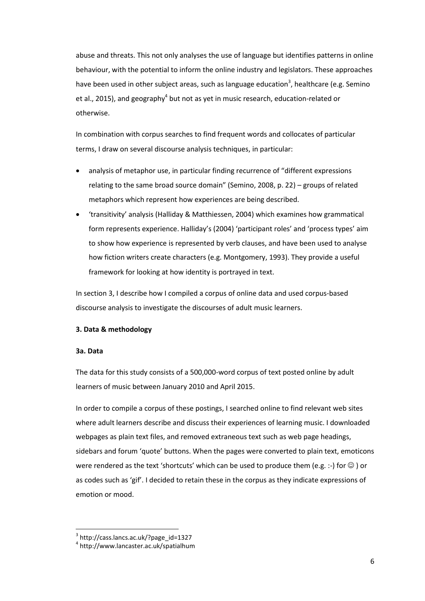abuse and threats. This not only analyses the use of language but identifies patterns in online behaviour, with the potential to inform the online industry and legislators. These approaches have been used in other subject areas, such as language education<sup>3</sup>, healthcare (e.g. Semino et al., 2015), and geography<sup>4</sup> but not as yet in music research, education-related or otherwise.

In combination with corpus searches to find frequent words and collocates of particular terms, I draw on several discourse analysis techniques, in particular:

- analysis of metaphor use, in particular finding recurrence of "different expressions relating to the same broad source domain" (Semino, 2008, p. 22) – groups of related metaphors which represent how experiences are being described.
- 'transitivity' analysis (Halliday & Matthiessen, 2004) which examines how grammatical form represents experience. Halliday's (2004) 'participant roles' and 'process types' aim to show how experience is represented by verb clauses, and have been used to analyse how fiction writers create characters (e.g. Montgomery, 1993). They provide a useful framework for looking at how identity is portrayed in text.

In section 3, I describe how I compiled a corpus of online data and used corpus-based discourse analysis to investigate the discourses of adult music learners.

# **3. Data & methodology**

# **3a. Data**

 $\overline{a}$ 

The data for this study consists of a 500,000-word corpus of text posted online by adult learners of music between January 2010 and April 2015.

In order to compile a corpus of these postings, I searched online to find relevant web sites where adult learners describe and discuss their experiences of learning music. I downloaded webpages as plain text files, and removed extraneous text such as web page headings, sidebars and forum 'quote' buttons. When the pages were converted to plain text, emoticons were rendered as the text 'shortcuts' which can be used to produce them (e.g. :-) for  $\circledcirc$  ) or as codes such as 'gif'. I decided to retain these in the corpus as they indicate expressions of emotion or mood.

<sup>3</sup> http://cass.lancs.ac.uk/?page\_id=1327

<sup>4</sup> http://www.lancaster.ac.uk/spatialhum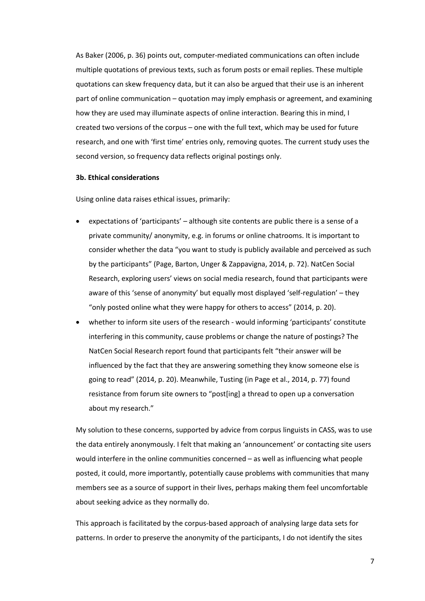As Baker (2006, p. 36) points out, computer-mediated communications can often include multiple quotations of previous texts, such as forum posts or email replies. These multiple quotations can skew frequency data, but it can also be argued that their use is an inherent part of online communication – quotation may imply emphasis or agreement, and examining how they are used may illuminate aspects of online interaction. Bearing this in mind, I created two versions of the corpus – one with the full text, which may be used for future research, and one with 'first time' entries only, removing quotes. The current study uses the second version, so frequency data reflects original postings only.

#### **3b. Ethical considerations**

Using online data raises ethical issues, primarily:

- expectations of 'participants' although site contents are public there is a sense of a private community/ anonymity, e.g. in forums or online chatrooms. It is important to consider whether the data "you want to study is publicly available and perceived as such by the participants" (Page, Barton, Unger & Zappavigna, 2014, p. 72). NatCen Social Research, exploring users' views on social media research, found that participants were aware of this 'sense of anonymity' but equally most displayed 'self-regulation' – they "only posted online what they were happy for others to access" (2014, p. 20).
- whether to inform site users of the research would informing 'participants' constitute interfering in this community, cause problems or change the nature of postings? The NatCen Social Research report found that participants felt "their answer will be influenced by the fact that they are answering something they know someone else is going to read" (2014, p. 20). Meanwhile, Tusting (in Page et al., 2014, p. 77) found resistance from forum site owners to "post[ing] a thread to open up a conversation about my research."

My solution to these concerns, supported by advice from corpus linguists in CASS, was to use the data entirely anonymously. I felt that making an 'announcement' or contacting site users would interfere in the online communities concerned – as well as influencing what people posted, it could, more importantly, potentially cause problems with communities that many members see as a source of support in their lives, perhaps making them feel uncomfortable about seeking advice as they normally do.

This approach is facilitated by the corpus-based approach of analysing large data sets for patterns. In order to preserve the anonymity of the participants, I do not identify the sites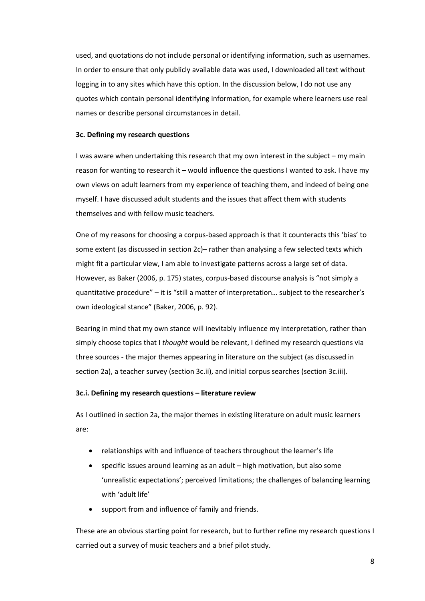used, and quotations do not include personal or identifying information, such as usernames. In order to ensure that only publicly available data was used, I downloaded all text without logging in to any sites which have this option. In the discussion below, I do not use any quotes which contain personal identifying information, for example where learners use real names or describe personal circumstances in detail.

#### **3c. Defining my research questions**

I was aware when undertaking this research that my own interest in the subject – my main reason for wanting to research it – would influence the questions I wanted to ask. I have my own views on adult learners from my experience of teaching them, and indeed of being one myself. I have discussed adult students and the issues that affect them with students themselves and with fellow music teachers.

One of my reasons for choosing a corpus-based approach is that it counteracts this 'bias' to some extent (as discussed in section 2c)– rather than analysing a few selected texts which might fit a particular view, I am able to investigate patterns across a large set of data. However, as Baker (2006, p. 175) states, corpus-based discourse analysis is "not simply a quantitative procedure" – it is "still a matter of interpretation… subject to the researcher's own ideological stance" (Baker, 2006, p. 92).

Bearing in mind that my own stance will inevitably influence my interpretation, rather than simply choose topics that I *thought* would be relevant, I defined my research questions via three sources - the major themes appearing in literature on the subject (as discussed in section 2a), a teacher survey (section 3c.ii), and initial corpus searches (section 3c.iii).

#### **3c.i. Defining my research questions – literature review**

As I outlined in section 2a, the major themes in existing literature on adult music learners are:

- relationships with and influence of teachers throughout the learner's life
- specific issues around learning as an adult high motivation, but also some 'unrealistic expectations'; perceived limitations; the challenges of balancing learning with 'adult life'
- support from and influence of family and friends.

These are an obvious starting point for research, but to further refine my research questions I carried out a survey of music teachers and a brief pilot study.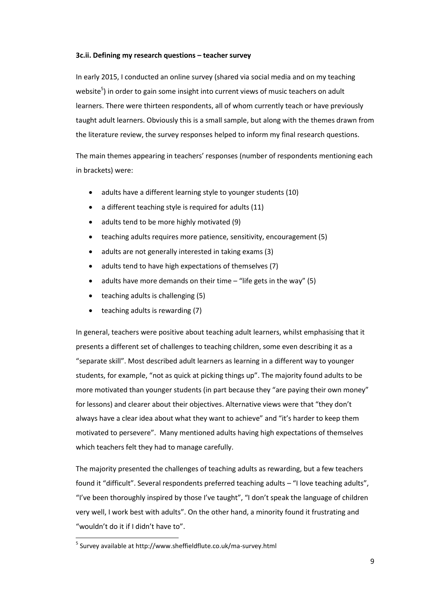# **3c.ii. Defining my research questions – teacher survey**

In early 2015, I conducted an online survey (shared via social media and on my teaching website<sup>5</sup>) in order to gain some insight into current views of music teachers on adult learners. There were thirteen respondents, all of whom currently teach or have previously taught adult learners. Obviously this is a small sample, but along with the themes drawn from the literature review, the survey responses helped to inform my final research questions.

The main themes appearing in teachers' responses (number of respondents mentioning each in brackets) were:

- adults have a different learning style to younger students (10)
- a different teaching style is required for adults (11)
- adults tend to be more highly motivated (9)
- teaching adults requires more patience, sensitivity, encouragement (5)
- adults are not generally interested in taking exams (3)
- adults tend to have high expectations of themselves (7)
- adults have more demands on their time "life gets in the way" (5)
- teaching adults is challenging (5)
- $\bullet$  teaching adults is rewarding (7)

In general, teachers were positive about teaching adult learners, whilst emphasising that it presents a different set of challenges to teaching children, some even describing it as a "separate skill". Most described adult learners as learning in a different way to younger students, for example, "not as quick at picking things up". The majority found adults to be more motivated than younger students (in part because they "are paying their own money" for lessons) and clearer about their objectives. Alternative views were that "they don't always have a clear idea about what they want to achieve" and "it's harder to keep them motivated to persevere". Many mentioned adults having high expectations of themselves which teachers felt they had to manage carefully.

The majority presented the challenges of teaching adults as rewarding, but a few teachers found it "difficult". Several respondents preferred teaching adults – "I love teaching adults", "I've been thoroughly inspired by those I've taught", "I don't speak the language of children very well, I work best with adults". On the other hand, a minority found it frustrating and "wouldn't do it if I didn't have to".

 $\overline{\phantom{a}}$ 

<sup>&</sup>lt;sup>5</sup> Survey available at http://www.sheffieldflute.co.uk/ma-survey.html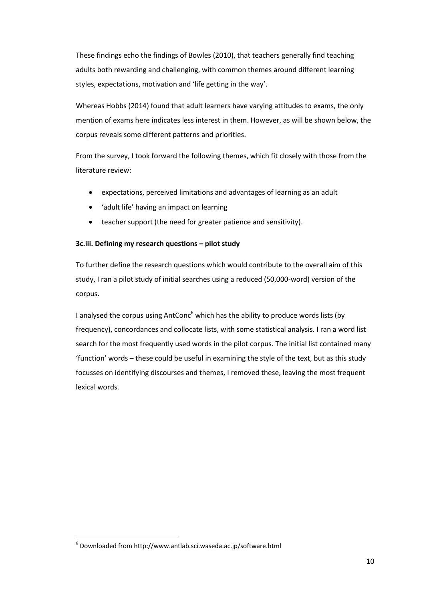These findings echo the findings of Bowles (2010), that teachers generally find teaching adults both rewarding and challenging, with common themes around different learning styles, expectations, motivation and 'life getting in the way'.

Whereas Hobbs (2014) found that adult learners have varying attitudes to exams, the only mention of exams here indicates less interest in them. However, as will be shown below, the corpus reveals some different patterns and priorities.

From the survey, I took forward the following themes, which fit closely with those from the literature review:

- expectations, perceived limitations and advantages of learning as an adult
- 'adult life' having an impact on learning
- teacher support (the need for greater patience and sensitivity).

# **3c.iii. Defining my research questions – pilot study**

To further define the research questions which would contribute to the overall aim of this study, I ran a pilot study of initial searches using a reduced (50,000-word) version of the corpus.

I analysed the corpus using  $AntConc<sup>6</sup>$  which has the ability to produce words lists (by frequency), concordances and collocate lists, with some statistical analysis. I ran a word list search for the most frequently used words in the pilot corpus. The initial list contained many 'function' words – these could be useful in examining the style of the text, but as this study focusses on identifying discourses and themes, I removed these, leaving the most frequent lexical words.

 $\overline{\phantom{a}}$ 

 $^6$  Downloaded from http://www.antlab.sci.waseda.ac.jp/software.html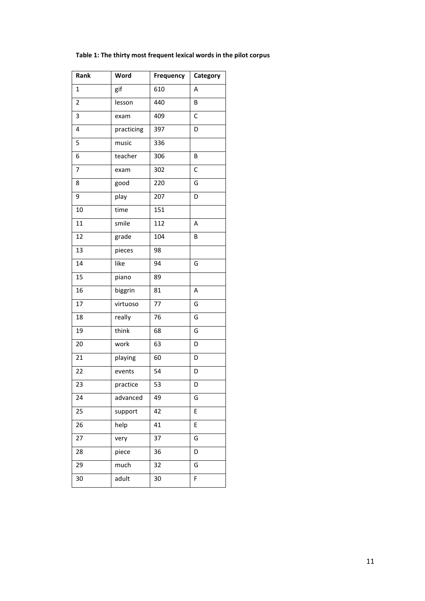| Rank           | Word       | <b>Frequency</b> | Category |
|----------------|------------|------------------|----------|
| $\mathbf{1}$   | gif        | 610              | A        |
| $\overline{2}$ | lesson     | 440              | B        |
| 3              | exam       | 409              | С        |
| 4              | practicing | 397              | D        |
| 5              | music      | 336              |          |
| 6              | teacher    | 306              | B        |
| 7              | exam       | 302              | C        |
| 8              | good       | 220              | G        |
| 9              | play       | 207              | D        |
| 10             | time       | 151              |          |
| 11             | smile      | 112              | Α        |
| 12             | grade      | 104              | B        |
| 13             | pieces     | 98               |          |
| 14             | like       | 94               | G        |
| 15             | piano      | 89               |          |
| 16             | biggrin    | 81               | Α        |
| 17             | virtuoso   | 77               | G        |
| 18             | really     | 76               | G        |
| 19             | think      | 68               | G        |
| 20             | work       | 63               | D        |
| 21             | playing    | 60               | D        |
| 22             | events     | 54               | D        |
| 23             | practice   | 53               | D        |
| 24             | advanced   | 49               | G        |
| 25             | support    | 42               | E        |
| 26             | help       | 41               | E        |
| 27             | very       | 37               | G        |
| 28             | piece      | 36               | D        |
| 29             | much       | 32               | G        |
| 30             | adult      | 30               | F        |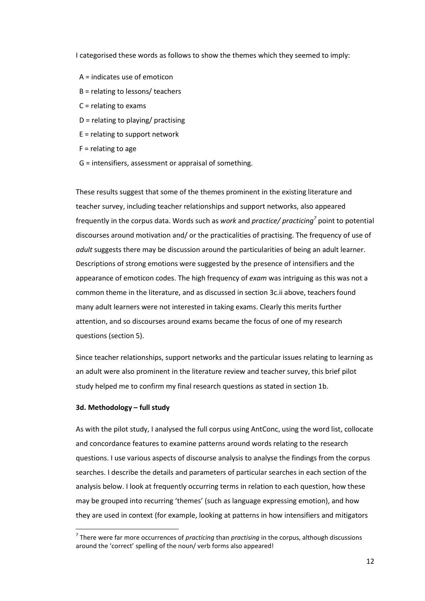I categorised these words as follows to show the themes which they seemed to imply:

- A = indicates use of emoticon
- B = relating to lessons/ teachers
- C = relating to exams
- D = relating to playing/ practising
- $E =$  relating to support network
- $F =$  relating to age
- G = intensifiers, assessment or appraisal of something.

These results suggest that some of the themes prominent in the existing literature and teacher survey, including teacher relationships and support networks, also appeared frequently in the corpus data. Words such as *work* and *practice/ practicing<sup>7</sup>* point to potential discourses around motivation and/ or the practicalities of practising. The frequency of use of *adult* suggests there may be discussion around the particularities of being an adult learner. Descriptions of strong emotions were suggested by the presence of intensifiers and the appearance of emoticon codes. The high frequency of *exam* was intriguing as this was not a common theme in the literature, and as discussed in section 3c.ii above, teachers found many adult learners were not interested in taking exams. Clearly this merits further attention, and so discourses around exams became the focus of one of my research questions (section 5).

Since teacher relationships, support networks and the particular issues relating to learning as an adult were also prominent in the literature review and teacher survey, this brief pilot study helped me to confirm my final research questions as stated in section 1b.

#### **3d. Methodology – full study**

 $\overline{a}$ 

As with the pilot study, I analysed the full corpus using AntConc, using the word list, collocate and concordance features to examine patterns around words relating to the research questions. I use various aspects of discourse analysis to analyse the findings from the corpus searches. I describe the details and parameters of particular searches in each section of the analysis below. I look at frequently occurring terms in relation to each question, how these may be grouped into recurring 'themes' (such as language expressing emotion), and how they are used in context (for example, looking at patterns in how intensifiers and mitigators

<sup>7</sup> There were far more occurrences of *practicing* than *practising* in the corpus, although discussions around the 'correct' spelling of the noun/ verb forms also appeared!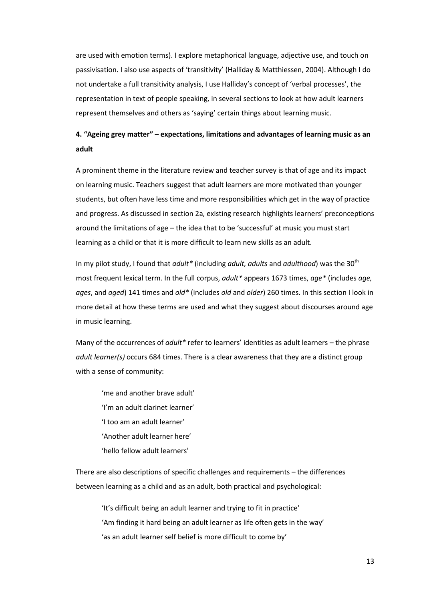are used with emotion terms). I explore metaphorical language, adjective use, and touch on passivisation. I also use aspects of 'transitivity' (Halliday & Matthiessen, 2004). Although I do not undertake a full transitivity analysis, I use Halliday's concept of 'verbal processes', the representation in text of people speaking, in several sections to look at how adult learners represent themselves and others as 'saying' certain things about learning music.

# **4. "Ageing grey matter" – expectations, limitations and advantages of learning music as an adult**

A prominent theme in the literature review and teacher survey is that of age and its impact on learning music. Teachers suggest that adult learners are more motivated than younger students, but often have less time and more responsibilities which get in the way of practice and progress. As discussed in section 2a, existing research highlights learners' preconceptions around the limitations of age – the idea that to be 'successful' at music you must start learning as a child or that it is more difficult to learn new skills as an adult.

In my pilot study, I found that *adult\** (including *adult, adults* and *adulthood*) was the 30th most frequent lexical term. In the full corpus, *adult\** appears 1673 times, *age\** (includes *age, ages*, and *aged*) 141 times and *old\** (includes *old* and *older*) 260 times. In this section I look in more detail at how these terms are used and what they suggest about discourses around age in music learning.

Many of the occurrences of *adult\** refer to learners' identities as adult learners – the phrase *adult learner(s)* occurs 684 times. There is a clear awareness that they are a distinct group with a sense of community:

'me and another brave adult' 'I'm an adult clarinet learner' 'I too am an adult learner' 'Another adult learner here' 'hello fellow adult learners'

There are also descriptions of specific challenges and requirements – the differences between learning as a child and as an adult, both practical and psychological:

'It's difficult being an adult learner and trying to fit in practice' 'Am finding it hard being an adult learner as life often gets in the way' 'as an adult learner self belief is more difficult to come by'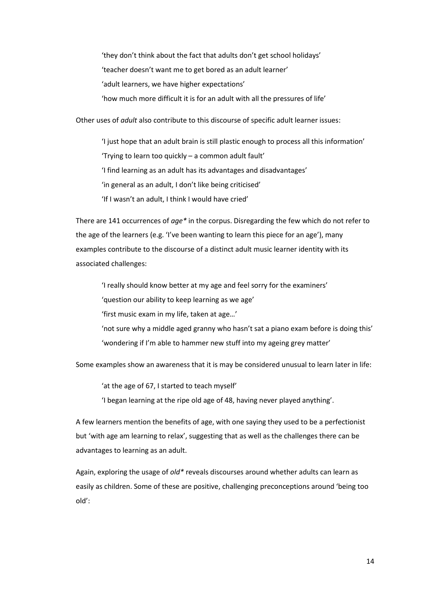'they don't think about the fact that adults don't get school holidays' 'teacher doesn't want me to get bored as an adult learner' 'adult learners, we have higher expectations' 'how much more difficult it is for an adult with all the pressures of life'

Other uses of *adult* also contribute to this discourse of specific adult learner issues:

'I just hope that an adult brain is still plastic enough to process all this information' 'Trying to learn too quickly – a common adult fault' 'I find learning as an adult has its advantages and disadvantages' 'in general as an adult, I don't like being criticised' 'If I wasn't an adult, I think I would have cried'

There are 141 occurrences of *age\** in the corpus. Disregarding the few which do not refer to the age of the learners (e.g. 'I've been wanting to learn this piece for an age'), many examples contribute to the discourse of a distinct adult music learner identity with its associated challenges:

'I really should know better at my age and feel sorry for the examiners'

'question our ability to keep learning as we age'

'first music exam in my life, taken at age…'

'not sure why a middle aged granny who hasn't sat a piano exam before is doing this' 'wondering if I'm able to hammer new stuff into my ageing grey matter'

Some examples show an awareness that it is may be considered unusual to learn later in life:

'at the age of 67, I started to teach myself'

'I began learning at the ripe old age of 48, having never played anything'.

A few learners mention the benefits of age, with one saying they used to be a perfectionist but 'with age am learning to relax', suggesting that as well as the challenges there can be advantages to learning as an adult.

Again, exploring the usage of *old\** reveals discourses around whether adults can learn as easily as children. Some of these are positive, challenging preconceptions around 'being too old':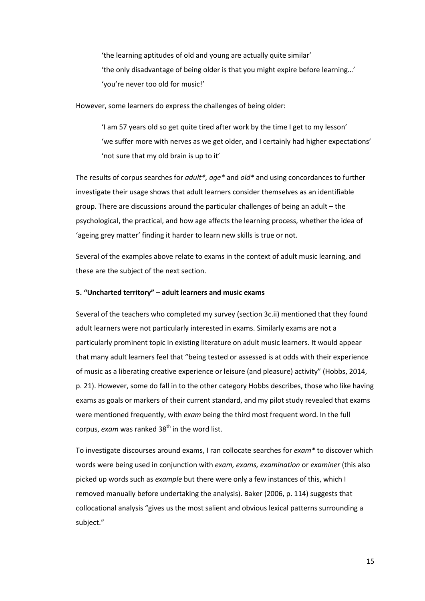'the learning aptitudes of old and young are actually quite similar' 'the only disadvantage of being older is that you might expire before learning…' 'you're never too old for music!'

However, some learners do express the challenges of being older:

'I am 57 years old so get quite tired after work by the time I get to my lesson' 'we suffer more with nerves as we get older, and I certainly had higher expectations' 'not sure that my old brain is up to it'

The results of corpus searches for *adult\*, age\** and *old\** and using concordances to further investigate their usage shows that adult learners consider themselves as an identifiable group. There are discussions around the particular challenges of being an adult – the psychological, the practical, and how age affects the learning process, whether the idea of 'ageing grey matter' finding it harder to learn new skills is true or not.

Several of the examples above relate to exams in the context of adult music learning, and these are the subject of the next section.

#### **5. "Uncharted territory" – adult learners and music exams**

Several of the teachers who completed my survey (section 3c.ii) mentioned that they found adult learners were not particularly interested in exams. Similarly exams are not a particularly prominent topic in existing literature on adult music learners. It would appear that many adult learners feel that "being tested or assessed is at odds with their experience of music as a liberating creative experience or leisure (and pleasure) activity" (Hobbs, 2014, p. 21). However, some do fall in to the other category Hobbs describes, those who like having exams as goals or markers of their current standard, and my pilot study revealed that exams were mentioned frequently, with *exam* being the third most frequent word. In the full corpus, *exam* was ranked 38<sup>th</sup> in the word list.

To investigate discourses around exams, I ran collocate searches for *exam\** to discover which words were being used in conjunction with *exam, exams, examination* or *examiner* (this also picked up words such as *example* but there were only a few instances of this, which I removed manually before undertaking the analysis). Baker (2006, p. 114) suggests that collocational analysis "gives us the most salient and obvious lexical patterns surrounding a subject."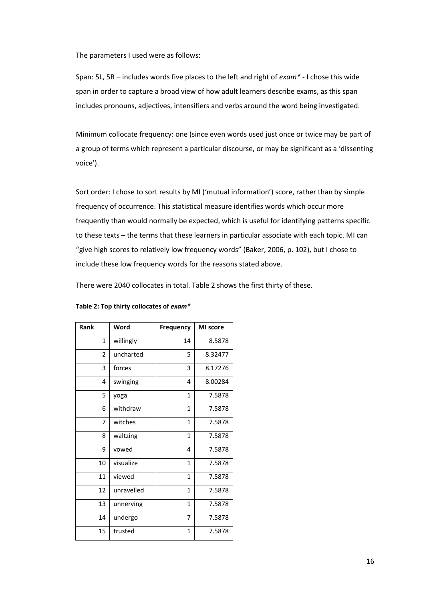The parameters I used were as follows:

Span: 5L, 5R – includes words five places to the left and right of *exam\** - I chose this wide span in order to capture a broad view of how adult learners describe exams, as this span includes pronouns, adjectives, intensifiers and verbs around the word being investigated.

Minimum collocate frequency: one (since even words used just once or twice may be part of a group of terms which represent a particular discourse, or may be significant as a 'dissenting voice').

Sort order: I chose to sort results by MI ('mutual information') score, rather than by simple frequency of occurrence. This statistical measure identifies words which occur more frequently than would normally be expected, which is useful for identifying patterns specific to these texts – the terms that these learners in particular associate with each topic. MI can "give high scores to relatively low frequency words" (Baker, 2006, p. 102), but I chose to include these low frequency words for the reasons stated above.

There were 2040 collocates in total. Table 2 shows the first thirty of these.

| Rank           | Word       | <b>Frequency</b> | <b>MI</b> score |
|----------------|------------|------------------|-----------------|
| $\mathbf{1}$   | willingly  | 14               | 8.5878          |
| $\overline{2}$ | uncharted  | 5                | 8.32477         |
| 3              | forces     | 3                | 8.17276         |
| 4              | swinging   | 4                | 8.00284         |
| 5              | yoga       | $\mathbf{1}$     | 7.5878          |
| 6              | withdraw   | $\mathbf{1}$     | 7.5878          |
| 7              | witches    | $\mathbf{1}$     | 7.5878          |
| 8              | waltzing   | 1                | 7.5878          |
| 9              | vowed      | 4                | 7.5878          |
| 10             | visualize  | 1                | 7.5878          |
| 11             | viewed     | $\mathbf{1}$     | 7.5878          |
| 12             | unravelled | $\mathbf{1}$     | 7.5878          |
| 13             | unnerving  | $\mathbf{1}$     | 7.5878          |
| 14             | undergo    | 7                | 7.5878          |
| 15             | trusted    | $\mathbf{1}$     | 7.5878          |

|  | Table 2: Top thirty collocates of exam* |  |  |
|--|-----------------------------------------|--|--|
|--|-----------------------------------------|--|--|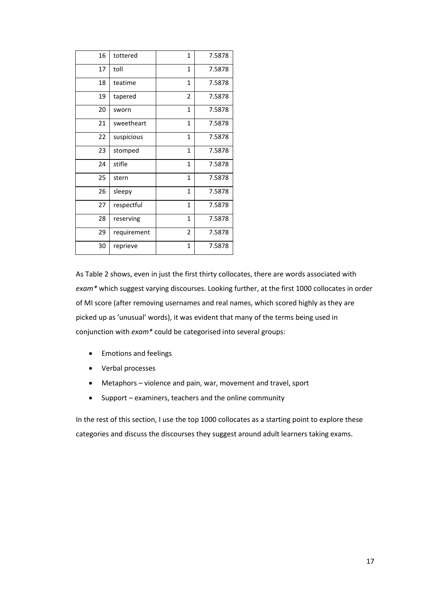| 16 | tottered    | $\mathbf{1}$   | 7.5878 |
|----|-------------|----------------|--------|
| 17 | toll        | $\mathbf{1}$   | 7.5878 |
| 18 | teatime     | $\mathbf{1}$   | 7.5878 |
| 19 | tapered     | 2              | 7.5878 |
| 20 | sworn       | $\mathbf{1}$   | 7.5878 |
| 21 | sweetheart  | 1              | 7.5878 |
| 22 | suspicious  | 1              | 7.5878 |
| 23 | stomped     | $\mathbf{1}$   | 7.5878 |
| 24 | stifle      | $\mathbf{1}$   | 7.5878 |
| 25 | stern       | $\mathbf{1}$   | 7.5878 |
| 26 | sleepy      | $\mathbf{1}$   | 7.5878 |
| 27 | respectful  | $\mathbf{1}$   | 7.5878 |
| 28 | reserving   | 1              | 7.5878 |
| 29 | requirement | $\overline{2}$ | 7.5878 |
| 30 | reprieve    | 1              | 7.5878 |

As Table 2 shows, even in just the first thirty collocates, there are words associated with *exam\** which suggest varying discourses. Looking further, at the first 1000 collocates in order of MI score (after removing usernames and real names, which scored highly as they are picked up as 'unusual' words), it was evident that many of the terms being used in conjunction with *exam\** could be categorised into several groups:

- Emotions and feelings
- Verbal processes
- Metaphors violence and pain, war, movement and travel, sport
- Support examiners, teachers and the online community

In the rest of this section, I use the top 1000 collocates as a starting point to explore these categories and discuss the discourses they suggest around adult learners taking exams.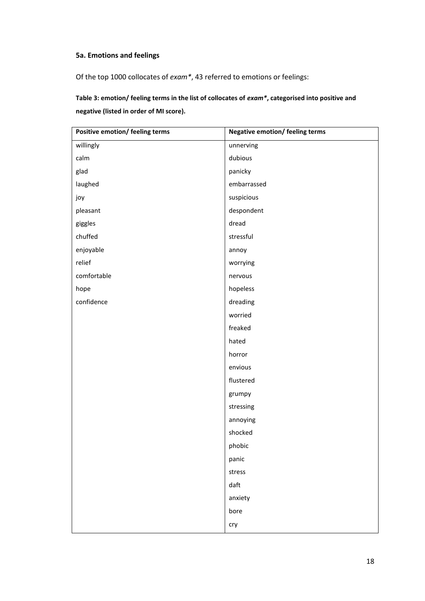# **5a. Emotions and feelings**

Of the top 1000 collocates of *exam\**, 43 referred to emotions or feelings:

# **Table 3: emotion/ feeling terms in the list of collocates of** *exam\****, categorised into positive and negative (listed in order of MI score).**

| Positive emotion/ feeling terms | <b>Negative emotion/ feeling terms</b> |
|---------------------------------|----------------------------------------|
| willingly                       | unnerving                              |
| calm                            | dubious                                |
| glad                            | panicky                                |
| laughed                         | embarrassed                            |
| јоу                             | suspicious                             |
| pleasant                        | despondent                             |
| giggles                         | dread                                  |
| chuffed                         | stressful                              |
| enjoyable                       | annoy                                  |
| relief                          | worrying                               |
| comfortable                     | nervous                                |
| hope                            | hopeless                               |
| confidence                      | dreading                               |
|                                 | worried                                |
|                                 | freaked                                |
|                                 | hated                                  |
|                                 | horror                                 |
|                                 | envious                                |
|                                 | flustered                              |
|                                 | grumpy                                 |
|                                 | stressing                              |
|                                 | annoying                               |
|                                 | shocked                                |
|                                 | phobic                                 |
|                                 | panic                                  |
|                                 | stress                                 |
|                                 | daft                                   |
|                                 | anxiety                                |
|                                 | bore                                   |
|                                 | cry                                    |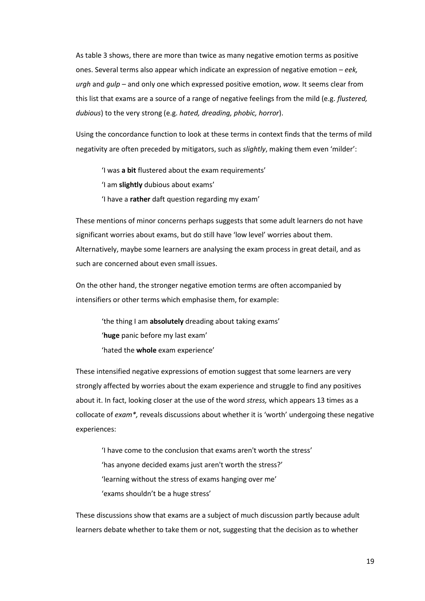As table 3 shows, there are more than twice as many negative emotion terms as positive ones. Several terms also appear which indicate an expression of negative emotion – *eek, urgh* and *gulp –* and only one which expressed positive emotion, *wow.* It seems clear from this list that exams are a source of a range of negative feelings from the mild (e.g. *flustered, dubious*) to the very strong (e.g. *hated, dreading, phobic, horror*).

Using the concordance function to look at these terms in context finds that the terms of mild negativity are often preceded by mitigators, such as *slightly*, making them even 'milder':

'I was **a bit** flustered about the exam requirements'

'I am **slightly** dubious about exams'

'I have a **rather** daft question regarding my exam'

These mentions of minor concerns perhaps suggests that some adult learners do not have significant worries about exams, but do still have 'low level' worries about them. Alternatively, maybe some learners are analysing the exam process in great detail, and as such are concerned about even small issues.

On the other hand, the stronger negative emotion terms are often accompanied by intensifiers or other terms which emphasise them, for example:

'the thing I am **absolutely** dreading about taking exams' '**huge** panic before my last exam' 'hated the **whole** exam experience'

These intensified negative expressions of emotion suggest that some learners are very strongly affected by worries about the exam experience and struggle to find any positives about it. In fact, looking closer at the use of the word *stress,* which appears 13 times as a collocate of *exam\*,* reveals discussions about whether it is 'worth' undergoing these negative experiences:

'I have come to the conclusion that exams aren't worth the stress' 'has anyone decided exams just aren't worth the stress?' 'learning without the stress of exams hanging over me' 'exams shouldn't be a huge stress'

These discussions show that exams are a subject of much discussion partly because adult learners debate whether to take them or not, suggesting that the decision as to whether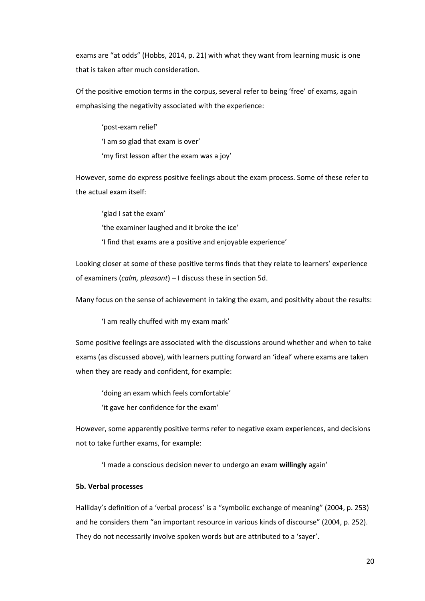exams are "at odds" (Hobbs, 2014, p. 21) with what they want from learning music is one that is taken after much consideration.

Of the positive emotion terms in the corpus, several refer to being 'free' of exams, again emphasising the negativity associated with the experience:

'post-exam relief' 'I am so glad that exam is over' 'my first lesson after the exam was a joy'

However, some do express positive feelings about the exam process. Some of these refer to the actual exam itself:

'glad I sat the exam' 'the examiner laughed and it broke the ice' 'I find that exams are a positive and enjoyable experience'

Looking closer at some of these positive terms finds that they relate to learners' experience of examiners (*calm, pleasant*) – I discuss these in section 5d.

Many focus on the sense of achievement in taking the exam, and positivity about the results:

'I am really chuffed with my exam mark'

Some positive feelings are associated with the discussions around whether and when to take exams (as discussed above), with learners putting forward an 'ideal' where exams are taken when they are ready and confident, for example:

'doing an exam which feels comfortable'

'it gave her confidence for the exam'

However, some apparently positive terms refer to negative exam experiences, and decisions not to take further exams, for example:

'I made a conscious decision never to undergo an exam **willingly** again'

#### **5b. Verbal processes**

Halliday's definition of a 'verbal process' is a "symbolic exchange of meaning" (2004, p. 253) and he considers them "an important resource in various kinds of discourse" (2004, p. 252). They do not necessarily involve spoken words but are attributed to a 'sayer'.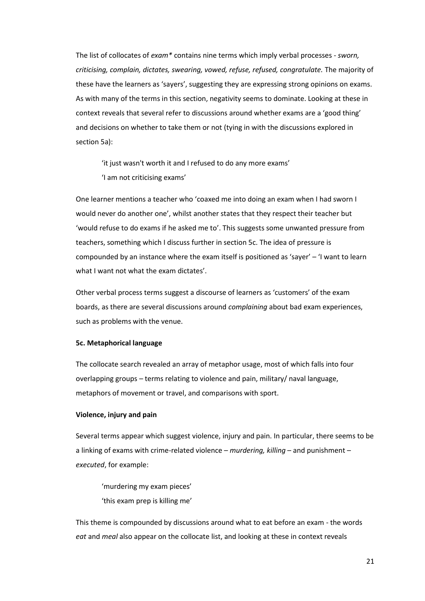The list of collocates of *exam\** contains nine terms which imply verbal processes - *sworn, criticising, complain, dictates, swearing, vowed, refuse, refused, congratulate.* The majority of these have the learners as 'sayers', suggesting they are expressing strong opinions on exams. As with many of the terms in this section, negativity seems to dominate. Looking at these in context reveals that several refer to discussions around whether exams are a 'good thing' and decisions on whether to take them or not (tying in with the discussions explored in section 5a):

'it just wasn't worth it and I refused to do any more exams' 'I am not criticising exams'

One learner mentions a teacher who 'coaxed me into doing an exam when I had sworn I would never do another one', whilst another states that they respect their teacher but 'would refuse to do exams if he asked me to'. This suggests some unwanted pressure from teachers, something which I discuss further in section 5c. The idea of pressure is compounded by an instance where the exam itself is positioned as 'sayer' – 'I want to learn what I want not what the exam dictates'.

Other verbal process terms suggest a discourse of learners as 'customers' of the exam boards, as there are several discussions around *complaining* about bad exam experiences, such as problems with the venue.

#### **5c. Metaphorical language**

The collocate search revealed an array of metaphor usage, most of which falls into four overlapping groups – terms relating to violence and pain, military/ naval language, metaphors of movement or travel, and comparisons with sport.

# **Violence, injury and pain**

Several terms appear which suggest violence, injury and pain. In particular, there seems to be a linking of exams with crime-related violence – *murdering, killing* – and punishment – *executed*, for example:

'murdering my exam pieces' 'this exam prep is killing me'

This theme is compounded by discussions around what to eat before an exam - the words *eat* and *meal* also appear on the collocate list, and looking at these in context reveals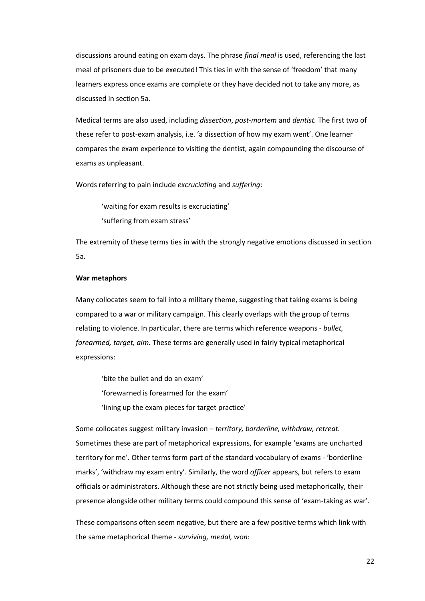discussions around eating on exam days. The phrase *final meal* is used, referencing the last meal of prisoners due to be executed! This ties in with the sense of 'freedom' that many learners express once exams are complete or they have decided not to take any more, as discussed in section 5a.

Medical terms are also used, including *dissection*, *post-mortem* and *dentist.* The first two of these refer to post-exam analysis, i.e. 'a dissection of how my exam went'. One learner compares the exam experience to visiting the dentist, again compounding the discourse of exams as unpleasant.

Words referring to pain include *excruciating* and *suffering*:

'waiting for exam results is excruciating' 'suffering from exam stress'

The extremity of these terms ties in with the strongly negative emotions discussed in section 5a.

#### **War metaphors**

Many collocates seem to fall into a military theme, suggesting that taking exams is being compared to a war or military campaign. This clearly overlaps with the group of terms relating to violence. In particular, there are terms which reference weapons - *bullet, forearmed, target, aim.* These terms are generally used in fairly typical metaphorical expressions:

'bite the bullet and do an exam' 'forewarned is forearmed for the exam' 'lining up the exam pieces for target practice'

Some collocates suggest military invasion – *territory, borderline, withdraw, retreat.*  Sometimes these are part of metaphorical expressions, for example 'exams are uncharted territory for me'. Other terms form part of the standard vocabulary of exams - 'borderline marks', 'withdraw my exam entry'. Similarly, the word *officer* appears, but refers to exam officials or administrators. Although these are not strictly being used metaphorically, their presence alongside other military terms could compound this sense of 'exam-taking as war'.

These comparisons often seem negative, but there are a few positive terms which link with the same metaphorical theme - *surviving, medal, won*: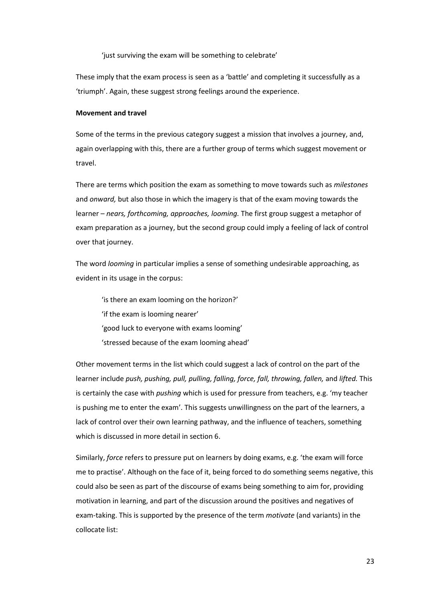'just surviving the exam will be something to celebrate'

These imply that the exam process is seen as a 'battle' and completing it successfully as a 'triumph'. Again, these suggest strong feelings around the experience.

#### **Movement and travel**

Some of the terms in the previous category suggest a mission that involves a journey, and, again overlapping with this, there are a further group of terms which suggest movement or travel.

There are terms which position the exam as something to move towards such as *milestones*  and *onward,* but also those in which the imagery is that of the exam moving towards the learner – *nears, forthcoming, approaches, looming.* The first group suggest a metaphor of exam preparation as a journey, but the second group could imply a feeling of lack of control over that journey.

The word *looming* in particular implies a sense of something undesirable approaching, as evident in its usage in the corpus:

'is there an exam looming on the horizon?' 'if the exam is looming nearer' 'good luck to everyone with exams looming' 'stressed because of the exam looming ahead'

Other movement terms in the list which could suggest a lack of control on the part of the learner include *push, pushing, pull, pulling, falling, force, fall, throwing, fallen,* and *lifted.* This is certainly the case with *pushing* which is used for pressure from teachers, e.g. 'my teacher is pushing me to enter the exam'. This suggests unwillingness on the part of the learners, a lack of control over their own learning pathway, and the influence of teachers, something which is discussed in more detail in section 6.

Similarly, *force* refers to pressure put on learners by doing exams, e.g. 'the exam will force me to practise'. Although on the face of it, being forced to do something seems negative, this could also be seen as part of the discourse of exams being something to aim for, providing motivation in learning, and part of the discussion around the positives and negatives of exam-taking. This is supported by the presence of the term *motivate* (and variants) in the collocate list: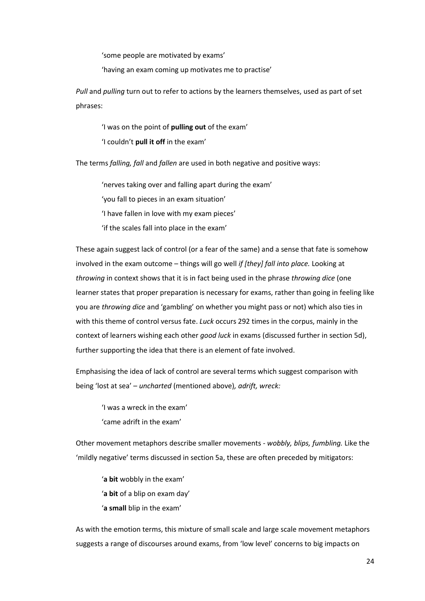'some people are motivated by exams' 'having an exam coming up motivates me to practise'

*Pull* and *pulling* turn out to refer to actions by the learners themselves, used as part of set phrases:

'I was on the point of **pulling out** of the exam'

'I couldn't **pull it off** in the exam'

The terms *falling, fall* and *fallen* are used in both negative and positive ways:

'nerves taking over and falling apart during the exam'

'you fall to pieces in an exam situation'

'I have fallen in love with my exam pieces'

'if the scales fall into place in the exam'

These again suggest lack of control (or a fear of the same) and a sense that fate is somehow involved in the exam outcome – things will go well *if [they] fall into place.* Looking at *throwing* in context shows that it is in fact being used in the phrase *throwing dice* (one learner states that proper preparation is necessary for exams, rather than going in feeling like you are *throwing dice* and 'gambling' on whether you might pass or not) which also ties in with this theme of control versus fate. *Luck* occurs 292 times in the corpus, mainly in the context of learners wishing each other *good luck* in exams (discussed further in section 5d), further supporting the idea that there is an element of fate involved.

Emphasising the idea of lack of control are several terms which suggest comparison with being 'lost at sea' – *uncharted* (mentioned above)*, adrift, wreck:*

'I was a wreck in the exam' 'came adrift in the exam'

Other movement metaphors describe smaller movements - *wobbly, blips, fumbling.* Like the 'mildly negative' terms discussed in section 5a, these are often preceded by mitigators:

'**a bit** wobbly in the exam' '**a bit** of a blip on exam day' '**a small** blip in the exam'

As with the emotion terms, this mixture of small scale and large scale movement metaphors suggests a range of discourses around exams, from 'low level' concerns to big impacts on

24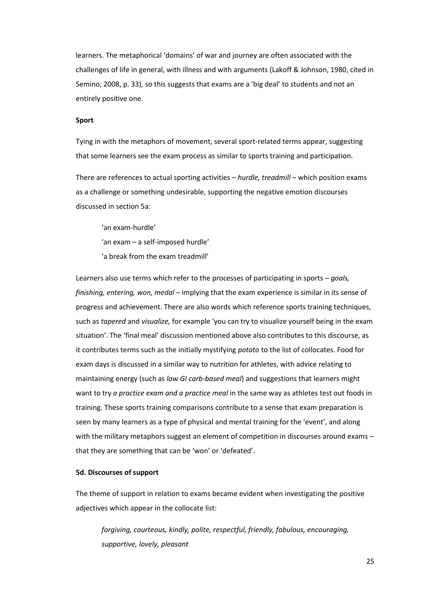learners. The metaphorical 'domains' of war and journey are often associated with the challenges of life in general, with illness and with arguments (Lakoff & Johnson, 1980, cited in Semino, 2008, p. 33), so this suggests that exams are a 'big deal' to students and not an entirely positive one.

#### **Sport**

Tying in with the metaphors of movement, several sport-related terms appear, suggesting that some learners see the exam process as similar to sports training and participation.

There are references to actual sporting activities – *hurdle, treadmill* – which position exams as a challenge or something undesirable, supporting the negative emotion discourses discussed in section 5a:

'an exam-hurdle' 'an exam – a self-imposed hurdle' 'a break from the exam treadmill'

Learners also use terms which refer to the processes of participating in sports – *goals, finishing, entering, won, medal* – implying that the exam experience is similar in its sense of progress and achievement. There are also words which reference sports training techniques, such as *tapered* and *visualize,* for example 'you can try to visualize yourself being in the exam situation'. The 'final meal' discussion mentioned above also contributes to this discourse, as it contributes terms such as the initially mystifying *potato* to the list of collocates. Food for exam days is discussed in a similar way to nutrition for athletes, with advice relating to maintaining energy (such as *low GI carb-based meal*) and suggestions that learners might want to try *a practice exam and a practice meal* in the same way as athletes test out foods in training. These sports training comparisons contribute to a sense that exam preparation is seen by many learners as a type of physical and mental training for the 'event', and along with the military metaphors suggest an element of competition in discourses around exams that they are something that can be 'won' or 'defeated'.

#### **5d. Discourses of support**

The theme of support in relation to exams became evident when investigating the positive adjectives which appear in the collocate list:

*forgiving, courteous, kindly, polite, respectful, friendly, fabulous, encouraging, supportive, lovely, pleasant*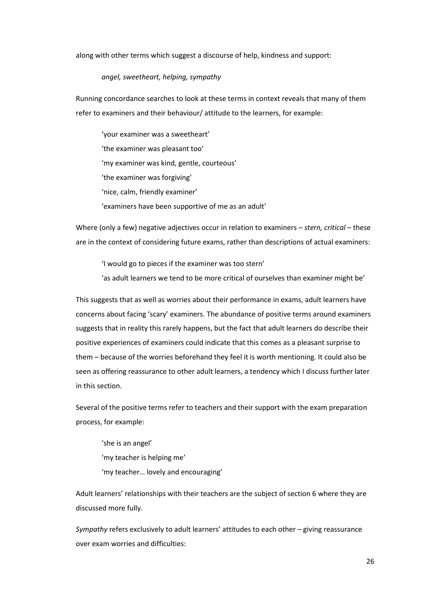along with other terms which suggest a discourse of help, kindness and support:

*angel, sweetheart, helping, sympathy*

Running concordance searches to look at these terms in context reveals that many of them refer to examiners and their behaviour/ attitude to the learners, for example:

'your examiner was a sweetheart' 'the examiner was pleasant too' 'my examiner was kind, gentle, courteous' 'the examiner was forgiving' 'nice, calm, friendly examiner' 'examiners have been supportive of me as an adult'

Where (only a few) negative adjectives occur in relation to examiners – *stern, critical* – these are in the context of considering future exams, rather than descriptions of actual examiners:

'I would go to pieces if the examiner was too stern' 'as adult learners we tend to be more critical of ourselves than examiner might be'

This suggests that as well as worries about their performance in exams, adult learners have concerns about facing 'scary' examiners. The abundance of positive terms around examiners suggests that in reality this rarely happens, but the fact that adult learners do describe their positive experiences of examiners could indicate that this comes as a pleasant surprise to them – because of the worries beforehand they feel it is worth mentioning. It could also be seen as offering reassurance to other adult learners, a tendency which I discuss further later in this section.

Several of the positive terms refer to teachers and their support with the exam preparation process, for example:

'she is an angel' 'my teacher is helping me' 'my teacher… lovely and encouraging'

Adult learners' relationships with their teachers are the subject of section 6 where they are discussed more fully.

*Sympathy* refers exclusively to adult learners' attitudes to each other – giving reassurance over exam worries and difficulties: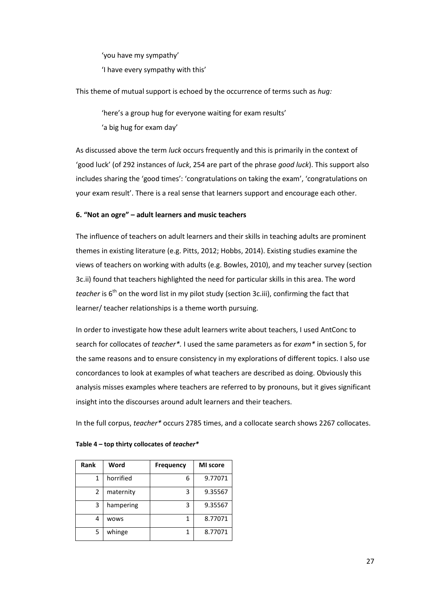'you have my sympathy' 'I have every sympathy with this'

This theme of mutual support is echoed by the occurrence of terms such as *hug:*

'here's a group hug for everyone waiting for exam results' 'a big hug for exam day'

As discussed above the term *luck* occurs frequently and this is primarily in the context of 'good luck' (of 292 instances of *luck*, 254 are part of the phrase *good luck*). This support also includes sharing the 'good times': 'congratulations on taking the exam', 'congratulations on your exam result'. There is a real sense that learners support and encourage each other.

# **6. "Not an ogre" – adult learners and music teachers**

The influence of teachers on adult learners and their skills in teaching adults are prominent themes in existing literature (e.g. Pitts, 2012; Hobbs, 2014). Existing studies examine the views of teachers on working with adults (e.g. Bowles, 2010), and my teacher survey (section 3c.ii) found that teachers highlighted the need for particular skills in this area. The word *teacher* is 6<sup>th</sup> on the word list in my pilot study (section 3c.iii), confirming the fact that learner/ teacher relationships is a theme worth pursuing.

In order to investigate how these adult learners write about teachers, I used AntConc to search for collocates of *teacher\*.* I used the same parameters as for *exam\** in section 5, for the same reasons and to ensure consistency in my explorations of different topics. I also use concordances to look at examples of what teachers are described as doing. Obviously this analysis misses examples where teachers are referred to by pronouns, but it gives significant insight into the discourses around adult learners and their teachers.

In the full corpus, *teacher\** occurs 2785 times, and a collocate search shows 2267 collocates.

| Rank | Word      | Frequency | <b>MI</b> score |
|------|-----------|-----------|-----------------|
| 1    | horrified | 6         | 9.77071         |
| 2    | maternity | 3         | 9.35567         |
| 3    | hampering | 3         | 9.35567         |
| 4    | wows      | 1         | 8.77071         |
| 5    | whinge    | 1         | 8.77071         |

# **Table 4 – top thirty collocates of** *teacher\**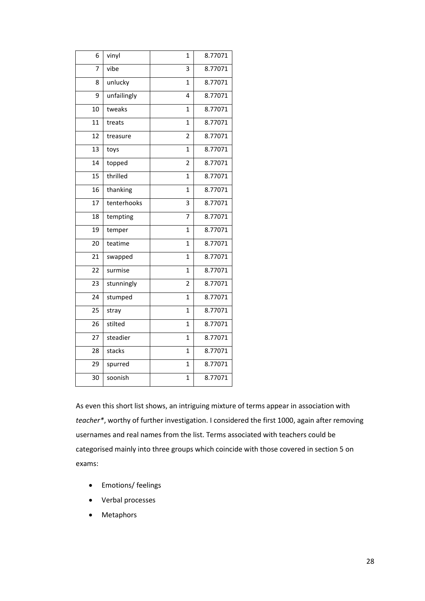| 6              | vinyl       | $\overline{1}$ | 8.77071 |
|----------------|-------------|----------------|---------|
| $\overline{7}$ | vibe        | 3              | 8.77071 |
| 8              | unlucky     | 1              | 8.77071 |
| 9              | unfailingly | 4              | 8.77071 |
| 10             | tweaks      | 1              | 8.77071 |
| 11             | treats      | 1              | 8.77071 |
| 12             | treasure    | $\overline{2}$ | 8.77071 |
| 13             | toys        | 1              | 8.77071 |
| 14             | topped      | $\overline{2}$ | 8.77071 |
| 15             | thrilled    | 1              | 8.77071 |
| 16             | thanking    | 1              | 8.77071 |
| 17             | tenterhooks | 3              | 8.77071 |
| 18             | tempting    | 7              | 8.77071 |
| 19             | temper      | 1              | 8.77071 |
| 20             | teatime     | 1              | 8.77071 |
| 21             | swapped     | 1              | 8.77071 |
| 22             | surmise     | $\mathbf{1}$   | 8.77071 |
| 23             | stunningly  | $\overline{2}$ | 8.77071 |
| 24             | stumped     | $\mathbf{1}$   | 8.77071 |
| 25             | stray       | $\overline{1}$ | 8.77071 |
| 26             | stilted     | $\mathbf{1}$   | 8.77071 |
| 27             | steadier    | $\mathbf{1}$   | 8.77071 |
| 28             | stacks      | 1              | 8.77071 |
| 29             | spurred     | 1              | 8.77071 |
| 30             | soonish     | $\overline{1}$ | 8.77071 |

As even this short list shows, an intriguing mixture of terms appear in association with *teacher\**, worthy of further investigation. I considered the first 1000, again after removing usernames and real names from the list. Terms associated with teachers could be categorised mainly into three groups which coincide with those covered in section 5 on exams:

- Emotions/ feelings
- Verbal processes
- Metaphors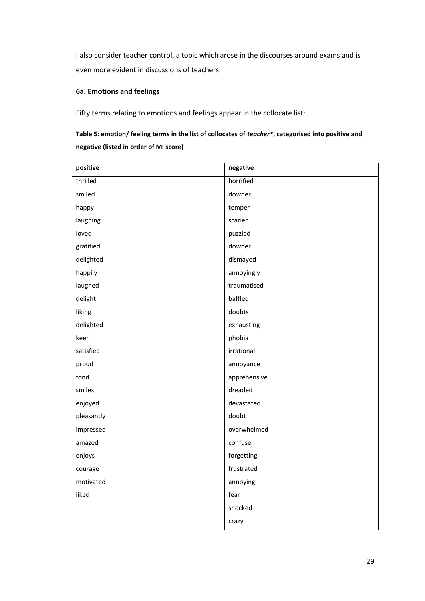I also consider teacher control, a topic which arose in the discourses around exams and is even more evident in discussions of teachers.

# **6a. Emotions and feelings**

Fifty terms relating to emotions and feelings appear in the collocate list:

# **Table 5: emotion/ feeling terms in the list of collocates of** *teacher\****, categorised into positive and negative (listed in order of MI score)**

| positive   | negative     |
|------------|--------------|
| thrilled   | horrified    |
| smiled     | downer       |
| happy      | temper       |
| laughing   | scarier      |
| loved      | puzzled      |
| gratified  | downer       |
| delighted  | dismayed     |
| happily    | annoyingly   |
| laughed    | traumatised  |
| delight    | baffled      |
| liking     | doubts       |
| delighted  | exhausting   |
| keen       | phobia       |
| satisfied  | irrational   |
| proud      | annoyance    |
| fond       | apprehensive |
| smiles     | dreaded      |
| enjoyed    | devastated   |
| pleasantly | doubt        |
| impressed  | overwhelmed  |
| amazed     | confuse      |
| enjoys     | forgetting   |
| courage    | frustrated   |
| motivated  | annoying     |
| liked      | fear         |
|            | shocked      |
|            | crazy        |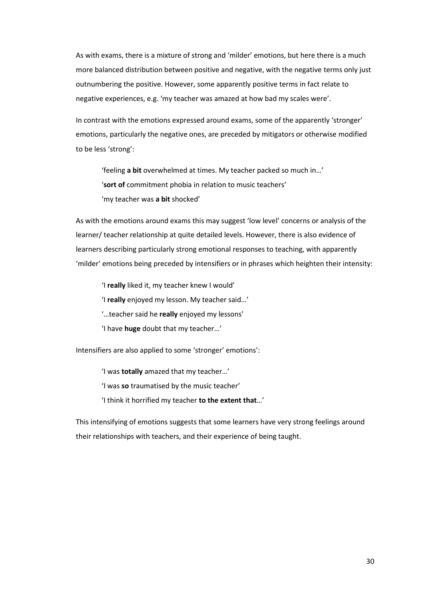As with exams, there is a mixture of strong and 'milder' emotions, but here there is a much more balanced distribution between positive and negative, with the negative terms only just outnumbering the positive. However, some apparently positive terms in fact relate to negative experiences, e.g. 'my teacher was amazed at how bad my scales were'.

In contrast with the emotions expressed around exams, some of the apparently 'stronger' emotions, particularly the negative ones, are preceded by mitigators or otherwise modified to be less 'strong':

'feeling **a bit** overwhelmed at times. My teacher packed so much in…' '**sort of** commitment phobia in relation to music teachers' 'my teacher was **a bit** shocked'

As with the emotions around exams this may suggest 'low level' concerns or analysis of the learner/ teacher relationship at quite detailed levels. However, there is also evidence of learners describing particularly strong emotional responses to teaching, with apparently 'milder' emotions being preceded by intensifiers or in phrases which heighten their intensity:

'I **really** liked it, my teacher knew I would'

'I **really** enjoyed my lesson. My teacher said…'

'…teacher said he **really** enjoyed my lessons'

'I have **huge** doubt that my teacher…'

Intensifiers are also applied to some 'stronger' emotions':

'I was **totally** amazed that my teacher…'

'I was **so** traumatised by the music teacher'

'I think it horrified my teacher **to the extent that**…'

This intensifying of emotions suggests that some learners have very strong feelings around their relationships with teachers, and their experience of being taught.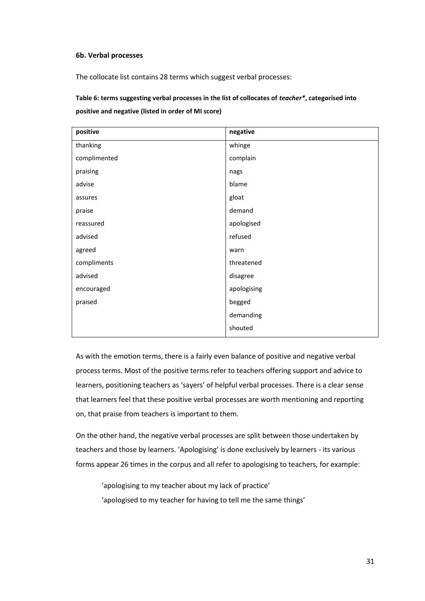#### **6b. Verbal processes**

The collocate list contains 28 terms which suggest verbal processes:

# **Table 6: terms suggesting verbal processes in the list of collocates of** *teacher\****, categorised into positive and negative (listed in order of MI score)**

| positive     | negative    |
|--------------|-------------|
| thanking     | whinge      |
| complimented | complain    |
| praising     | nags        |
| advise       | blame       |
| assures      | gloat       |
| praise       | demand      |
| reassured    | apologised  |
| advised      | refused     |
| agreed       | warn        |
| compliments  | threatened  |
| advised      | disagree    |
| encouraged   | apologising |
| praised      | begged      |
|              | demanding   |
|              | shouted     |

As with the emotion terms, there is a fairly even balance of positive and negative verbal process terms. Most of the positive terms refer to teachers offering support and advice to learners, positioning teachers as 'sayers' of helpful verbal processes. There is a clear sense that learners feel that these positive verbal processes are worth mentioning and reporting on, that praise from teachers is important to them.

On the other hand, the negative verbal processes are split between those undertaken by teachers and those by learners. 'Apologising' is done exclusively by learners - its various forms appear 26 times in the corpus and all refer to apologising to teachers, for example:

'apologising to my teacher about my lack of practice' 'apologised to my teacher for having to tell me the same things'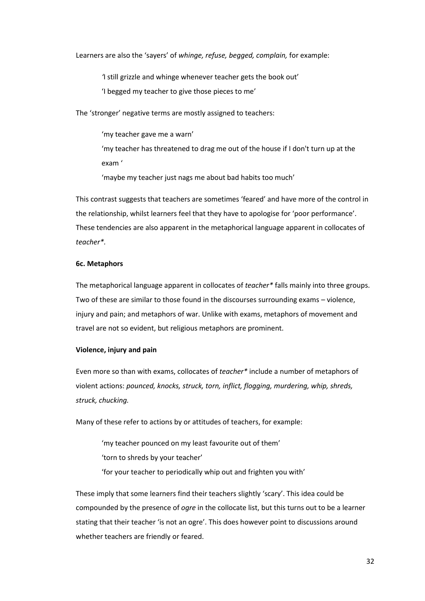Learners are also the 'sayers' of *whinge, refuse, begged, complain,* for example:

*'*I still grizzle and whinge whenever teacher gets the book out'

'I begged my teacher to give those pieces to me'

The 'stronger' negative terms are mostly assigned to teachers:

'my teacher gave me a warn'

'my teacher has threatened to drag me out of the house if I don't turn up at the exam '

'maybe my teacher just nags me about bad habits too much'

This contrast suggests that teachers are sometimes 'feared' and have more of the control in the relationship, whilst learners feel that they have to apologise for 'poor performance'. These tendencies are also apparent in the metaphorical language apparent in collocates of *teacher\*.*

#### **6c. Metaphors**

The metaphorical language apparent in collocates of *teacher\** falls mainly into three groups. Two of these are similar to those found in the discourses surrounding exams – violence, injury and pain; and metaphors of war. Unlike with exams, metaphors of movement and travel are not so evident, but religious metaphors are prominent.

#### **Violence, injury and pain**

Even more so than with exams, collocates of *teacher\** include a number of metaphors of violent actions: *pounced, knocks, struck, torn, inflict, flogging, murdering, whip, shreds, struck, chucking.*

Many of these refer to actions by or attitudes of teachers, for example:

'my teacher pounced on my least favourite out of them' 'torn to shreds by your teacher' 'for your teacher to periodically whip out and frighten you with'

These imply that some learners find their teachers slightly 'scary'. This idea could be compounded by the presence of *ogre* in the collocate list, but this turns out to be a learner stating that their teacher 'is not an ogre'. This does however point to discussions around whether teachers are friendly or feared.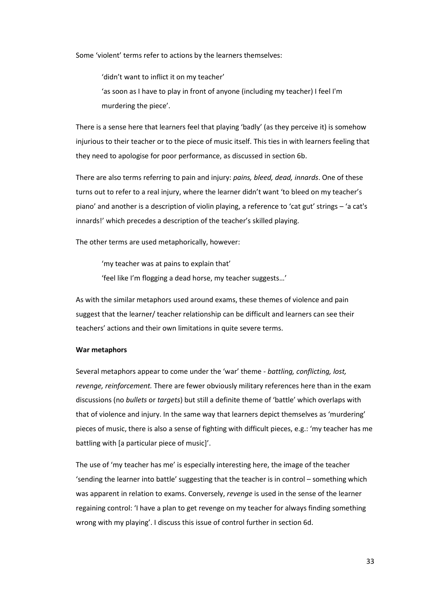Some 'violent' terms refer to actions by the learners themselves:

'didn't want to inflict it on my teacher' 'as soon as I have to play in front of anyone (including my teacher) I feel I'm murdering the piece'.

There is a sense here that learners feel that playing 'badly' (as they perceive it) is somehow injurious to their teacher or to the piece of music itself. This ties in with learners feeling that they need to apologise for poor performance, as discussed in section 6b.

There are also terms referring to pain and injury: *pains, bleed, dead, innards*. One of these turns out to refer to a real injury, where the learner didn't want 'to bleed on my teacher's piano' and another is a description of violin playing, a reference to 'cat gut' strings – 'a cat's innards!' which precedes a description of the teacher's skilled playing.

The other terms are used metaphorically, however:

'my teacher was at pains to explain that' 'feel like I'm flogging a dead horse, my teacher suggests…'

As with the similar metaphors used around exams, these themes of violence and pain suggest that the learner/ teacher relationship can be difficult and learners can see their teachers' actions and their own limitations in quite severe terms.

#### **War metaphors**

Several metaphors appear to come under the 'war' theme - *battling, conflicting, lost, revenge, reinforcement.* There are fewer obviously military references here than in the exam discussions (no *bullets* or *targets*) but still a definite theme of 'battle' which overlaps with that of violence and injury. In the same way that learners depict themselves as 'murdering' pieces of music, there is also a sense of fighting with difficult pieces, e.g.: 'my teacher has me battling with [a particular piece of music]'.

The use of 'my teacher has me' is especially interesting here, the image of the teacher 'sending the learner into battle' suggesting that the teacher is in control – something which was apparent in relation to exams. Conversely, *revenge* is used in the sense of the learner regaining control: 'I have a plan to get revenge on my teacher for always finding something wrong with my playing'. I discuss this issue of control further in section 6d.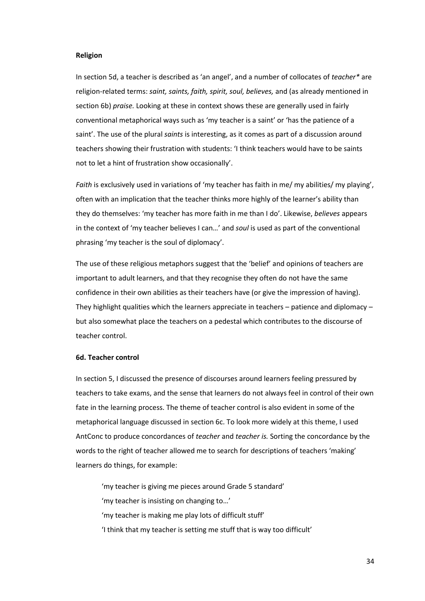#### **Religion**

In section 5d, a teacher is described as 'an angel', and a number of collocates of *teacher\** are religion-related terms: *saint, saints, faith, spirit, soul, believes,* and (as already mentioned in section 6b) *praise.* Looking at these in context shows these are generally used in fairly conventional metaphorical ways such as 'my teacher is a saint' or 'has the patience of a saint'. The use of the plural *saints* is interesting, as it comes as part of a discussion around teachers showing their frustration with students: 'I think teachers would have to be saints not to let a hint of frustration show occasionally'.

*Faith* is exclusively used in variations of 'my teacher has faith in me/ my abilities/ my playing', often with an implication that the teacher thinks more highly of the learner's ability than they do themselves: 'my teacher has more faith in me than I do'. Likewise, *believes* appears in the context of 'my teacher believes I can…' and *soul* is used as part of the conventional phrasing 'my teacher is the soul of diplomacy'.

The use of these religious metaphors suggest that the 'belief' and opinions of teachers are important to adult learners, and that they recognise they often do not have the same confidence in their own abilities as their teachers have (or give the impression of having). They highlight qualities which the learners appreciate in teachers – patience and diplomacy – but also somewhat place the teachers on a pedestal which contributes to the discourse of teacher control.

#### **6d. Teacher control**

In section 5, I discussed the presence of discourses around learners feeling pressured by teachers to take exams, and the sense that learners do not always feel in control of their own fate in the learning process. The theme of teacher control is also evident in some of the metaphorical language discussed in section 6c. To look more widely at this theme, I used AntConc to produce concordances of *teacher* and *teacher is.* Sorting the concordance by the words to the right of teacher allowed me to search for descriptions of teachers 'making' learners do things, for example:

'my teacher is giving me pieces around Grade 5 standard' 'my teacher is insisting on changing to…' 'my teacher is making me play lots of difficult stuff' 'I think that my teacher is setting me stuff that is way too difficult'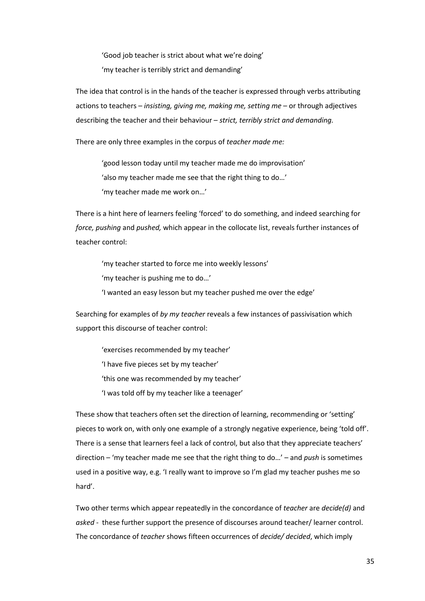'Good job teacher is strict about what we're doing' 'my teacher is terribly strict and demanding'

The idea that control is in the hands of the teacher is expressed through verbs attributing actions to teachers – *insisting, giving me, making me, setting me* – or through adjectives describing the teacher and their behaviour – *strict, terribly strict and demanding.*

There are only three examples in the corpus of *teacher made me:*

'good lesson today until my teacher made me do improvisation' 'also my teacher made me see that the right thing to do…' 'my teacher made me work on…'

There is a hint here of learners feeling 'forced' to do something, and indeed searching for *force, pushing* and *pushed,* which appear in the collocate list, reveals further instances of teacher control:

'my teacher started to force me into weekly lessons' 'my teacher is pushing me to do…'

'I wanted an easy lesson but my teacher pushed me over the edge'

Searching for examples of *by my teacher* reveals a few instances of passivisation which support this discourse of teacher control:

'exercises recommended by my teacher' 'I have five pieces set by my teacher' 'this one was recommended by my teacher' 'I was told off by my teacher like a teenager'

These show that teachers often set the direction of learning, recommending or 'setting' pieces to work on, with only one example of a strongly negative experience, being 'told off'. There is a sense that learners feel a lack of control, but also that they appreciate teachers' direction – 'my teacher made me see that the right thing to do…' – and *push* is sometimes used in a positive way, e.g. 'I really want to improve so I'm glad my teacher pushes me so hard'.

Two other terms which appear repeatedly in the concordance of *teacher* are *decide(d)* and *asked -* these further support the presence of discourses around teacher/ learner control. The concordance of *teacher* shows fifteen occurrences of *decide/ decided*, which imply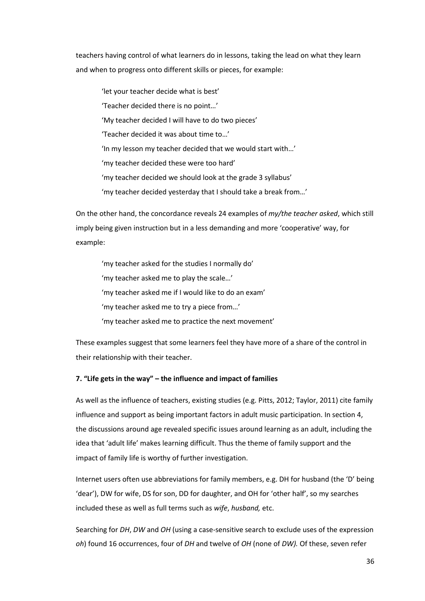teachers having control of what learners do in lessons, taking the lead on what they learn and when to progress onto different skills or pieces, for example:

'let your teacher decide what is best' 'Teacher decided there is no point…' 'My teacher decided I will have to do two pieces' 'Teacher decided it was about time to…' 'In my lesson my teacher decided that we would start with…' 'my teacher decided these were too hard' 'my teacher decided we should look at the grade 3 syllabus' 'my teacher decided yesterday that I should take a break from…'

On the other hand, the concordance reveals 24 examples of *my/the teacher asked*, which still imply being given instruction but in a less demanding and more 'cooperative' way, for example:

'my teacher asked for the studies I normally do'

'my teacher asked me to play the scale…'

'my teacher asked me if I would like to do an exam'

'my teacher asked me to try a piece from…'

'my teacher asked me to practice the next movement'

These examples suggest that some learners feel they have more of a share of the control in their relationship with their teacher.

# **7. "Life gets in the way" – the influence and impact of families**

As well as the influence of teachers, existing studies (e.g. Pitts, 2012; Taylor, 2011) cite family influence and support as being important factors in adult music participation. In section 4, the discussions around age revealed specific issues around learning as an adult, including the idea that 'adult life' makes learning difficult. Thus the theme of family support and the impact of family life is worthy of further investigation.

Internet users often use abbreviations for family members, e.g. DH for husband (the 'D' being 'dear'), DW for wife, DS for son, DD for daughter, and OH for 'other half', so my searches included these as well as full terms such as *wife*, *husband,* etc.

Searching for *DH*, *DW* and *OH* (using a case-sensitive search to exclude uses of the expression *oh*) found 16 occurrences, four of *DH* and twelve of *OH* (none of *DW).* Of these, seven refer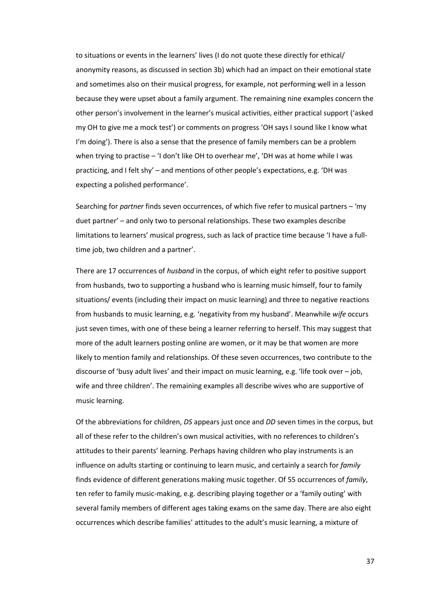to situations or events in the learners' lives (I do not quote these directly for ethical/ anonymity reasons, as discussed in section 3b) which had an impact on their emotional state and sometimes also on their musical progress, for example, not performing well in a lesson because they were upset about a family argument. The remaining nine examples concern the other person's involvement in the learner's musical activities, either practical support ('asked my OH to give me a mock test') or comments on progress 'OH says I sound like I know what I'm doing'). There is also a sense that the presence of family members can be a problem when trying to practise – 'I don't like OH to overhear me', 'DH was at home while I was practicing, and I felt shy' – and mentions of other people's expectations, e.g. 'DH was expecting a polished performance'.

Searching for *partner* finds seven occurrences, of which five refer to musical partners – 'my duet partner' – and only two to personal relationships. These two examples describe limitations to learners' musical progress, such as lack of practice time because 'I have a fulltime job, two children and a partner'.

There are 17 occurrences of *husband* in the corpus, of which eight refer to positive support from husbands, two to supporting a husband who is learning music himself, four to family situations/ events (including their impact on music learning) and three to negative reactions from husbands to music learning, e.g. 'negativity from my husband'. Meanwhile *wife* occurs just seven times, with one of these being a learner referring to herself. This may suggest that more of the adult learners posting online are women, or it may be that women are more likely to mention family and relationships. Of these seven occurrences, two contribute to the discourse of 'busy adult lives' and their impact on music learning, e.g. 'life took over – job, wife and three children'. The remaining examples all describe wives who are supportive of music learning.

Of the abbreviations for children, *DS* appears just once and *DD* seven times in the corpus, but all of these refer to the children's own musical activities, with no references to children's attitudes to their parents' learning. Perhaps having children who play instruments is an influence on adults starting or continuing to learn music, and certainly a search for *family* finds evidence of different generations making music together. Of 55 occurrences of *family*, ten refer to family music-making, e.g. describing playing together or a 'family outing' with several family members of different ages taking exams on the same day. There are also eight occurrences which describe families' attitudes to the adult's music learning, a mixture of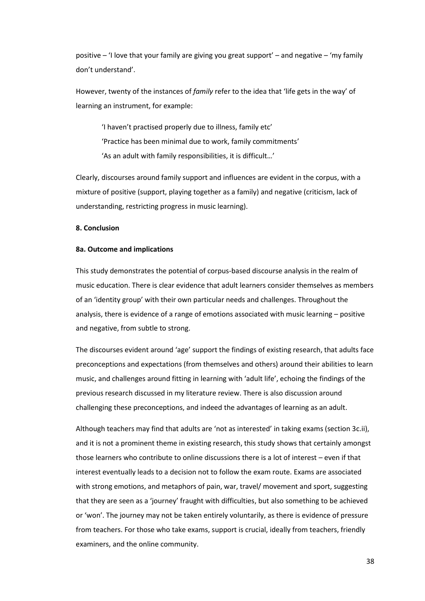positive – 'I love that your family are giving you great support' – and negative – 'my family don't understand'.

However, twenty of the instances of *family* refer to the idea that 'life gets in the way' of learning an instrument, for example:

'I haven't practised properly due to illness, family etc' 'Practice has been minimal due to work, family commitments' 'As an adult with family responsibilities, it is difficult…'

Clearly, discourses around family support and influences are evident in the corpus, with a mixture of positive (support, playing together as a family) and negative (criticism, lack of understanding, restricting progress in music learning).

#### **8. Conclusion**

#### **8a. Outcome and implications**

This study demonstrates the potential of corpus-based discourse analysis in the realm of music education. There is clear evidence that adult learners consider themselves as members of an 'identity group' with their own particular needs and challenges. Throughout the analysis, there is evidence of a range of emotions associated with music learning – positive and negative, from subtle to strong.

The discourses evident around 'age' support the findings of existing research, that adults face preconceptions and expectations (from themselves and others) around their abilities to learn music, and challenges around fitting in learning with 'adult life', echoing the findings of the previous research discussed in my literature review. There is also discussion around challenging these preconceptions, and indeed the advantages of learning as an adult.

Although teachers may find that adults are 'not as interested' in taking exams (section 3c.ii), and it is not a prominent theme in existing research, this study shows that certainly amongst those learners who contribute to online discussions there is a lot of interest – even if that interest eventually leads to a decision not to follow the exam route. Exams are associated with strong emotions, and metaphors of pain, war, travel/ movement and sport, suggesting that they are seen as a 'journey' fraught with difficulties, but also something to be achieved or 'won'. The journey may not be taken entirely voluntarily, as there is evidence of pressure from teachers. For those who take exams, support is crucial, ideally from teachers, friendly examiners, and the online community.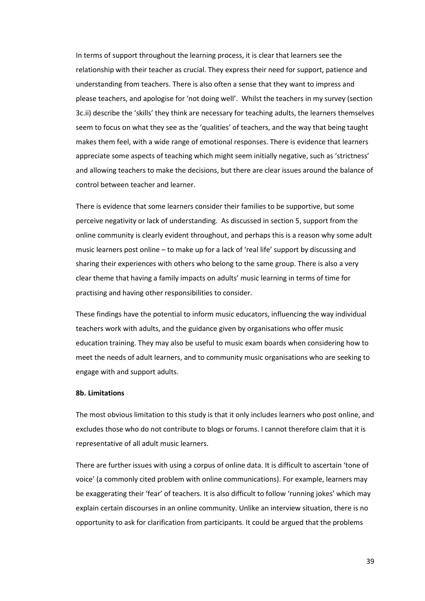In terms of support throughout the learning process, it is clear that learners see the relationship with their teacher as crucial. They express their need for support, patience and understanding from teachers. There is also often a sense that they want to impress and please teachers, and apologise for 'not doing well'. Whilst the teachers in my survey (section 3c.ii) describe the 'skills' they think are necessary for teaching adults, the learners themselves seem to focus on what they see as the 'qualities' of teachers, and the way that being taught makes them feel, with a wide range of emotional responses. There is evidence that learners appreciate some aspects of teaching which might seem initially negative, such as 'strictness' and allowing teachers to make the decisions, but there are clear issues around the balance of control between teacher and learner.

There is evidence that some learners consider their families to be supportive, but some perceive negativity or lack of understanding. As discussed in section 5, support from the online community is clearly evident throughout, and perhaps this is a reason why some adult music learners post online – to make up for a lack of 'real life' support by discussing and sharing their experiences with others who belong to the same group. There is also a very clear theme that having a family impacts on adults' music learning in terms of time for practising and having other responsibilities to consider.

These findings have the potential to inform music educators, influencing the way individual teachers work with adults, and the guidance given by organisations who offer music education training. They may also be useful to music exam boards when considering how to meet the needs of adult learners, and to community music organisations who are seeking to engage with and support adults.

#### **8b. Limitations**

The most obvious limitation to this study is that it only includes learners who post online, and excludes those who do not contribute to blogs or forums. I cannot therefore claim that it is representative of all adult music learners.

There are further issues with using a corpus of online data. It is difficult to ascertain 'tone of voice' (a commonly cited problem with online communications). For example, learners may be exaggerating their 'fear' of teachers. It is also difficult to follow 'running jokes' which may explain certain discourses in an online community. Unlike an interview situation, there is no opportunity to ask for clarification from participants. It could be argued that the problems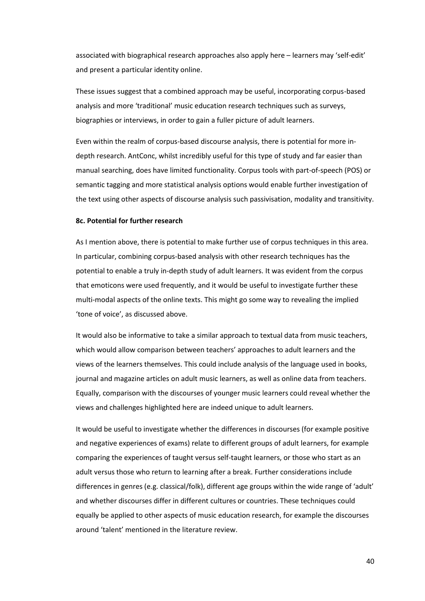associated with biographical research approaches also apply here – learners may 'self-edit' and present a particular identity online.

These issues suggest that a combined approach may be useful, incorporating corpus-based analysis and more 'traditional' music education research techniques such as surveys, biographies or interviews, in order to gain a fuller picture of adult learners.

Even within the realm of corpus-based discourse analysis, there is potential for more indepth research. AntConc, whilst incredibly useful for this type of study and far easier than manual searching, does have limited functionality. Corpus tools with part-of-speech (POS) or semantic tagging and more statistical analysis options would enable further investigation of the text using other aspects of discourse analysis such passivisation, modality and transitivity.

#### **8c. Potential for further research**

As I mention above, there is potential to make further use of corpus techniques in this area. In particular, combining corpus-based analysis with other research techniques has the potential to enable a truly in-depth study of adult learners. It was evident from the corpus that emoticons were used frequently, and it would be useful to investigate further these multi-modal aspects of the online texts. This might go some way to revealing the implied 'tone of voice', as discussed above.

It would also be informative to take a similar approach to textual data from music teachers, which would allow comparison between teachers' approaches to adult learners and the views of the learners themselves. This could include analysis of the language used in books, journal and magazine articles on adult music learners, as well as online data from teachers. Equally, comparison with the discourses of younger music learners could reveal whether the views and challenges highlighted here are indeed unique to adult learners.

It would be useful to investigate whether the differences in discourses (for example positive and negative experiences of exams) relate to different groups of adult learners, for example comparing the experiences of taught versus self-taught learners, or those who start as an adult versus those who return to learning after a break. Further considerations include differences in genres (e.g. classical/folk), different age groups within the wide range of 'adult' and whether discourses differ in different cultures or countries. These techniques could equally be applied to other aspects of music education research, for example the discourses around 'talent' mentioned in the literature review.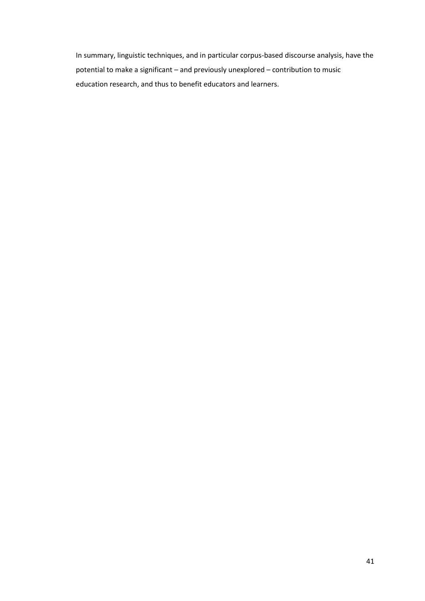In summary, linguistic techniques, and in particular corpus-based discourse analysis, have the potential to make a significant – and previously unexplored – contribution to music education research, and thus to benefit educators and learners.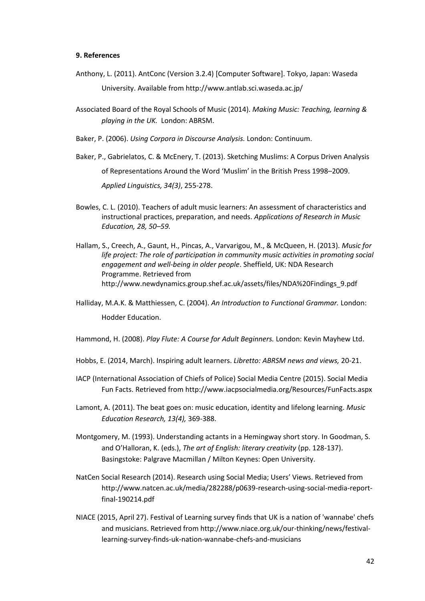#### **9. References**

- Anthony, L. (2011). AntConc (Version 3.2.4) [Computer Software]. Tokyo, Japan: Waseda University. Available from http://www.antlab.sci.waseda.ac.jp/
- Associated Board of the Royal Schools of Music (2014). *Making Music: Teaching, learning & playing in the UK.* London: ABRSM.
- Baker, P. (2006). *Using Corpora in Discourse Analysis.* London: Continuum.
- Baker, P., Gabrielatos, C. & McEnery, T. (2013). Sketching Muslims: A Corpus Driven Analysis of Representations Around the Word 'Muslim' in the British Press 1998–2009. *Applied Linguistics, 34(3)*, 255-278.
- Bowles, C. L. (2010). Teachers of adult music learners: An assessment of characteristics and instructional practices, preparation, and needs. *Applications of Research in Music Education, 28, 50–59.*
- Hallam, S., Creech, A., Gaunt, H., Pincas, A., Varvarigou, M., & McQueen, H. (2013). *Music for life project: The role of participation in community music activities in promoting social engagement and well-being in older people*. Sheffield, UK: NDA Research Programme. Retrieved from http://www.newdynamics.group.shef.ac.uk/assets/files/NDA%20Findings\_9.pdf
- Halliday, M.A.K. & Matthiessen, C. (2004). *An Introduction to Functional Grammar.* London: Hodder Education.
- Hammond, H. (2008). *Play Flute: A Course for Adult Beginners.* London: Kevin Mayhew Ltd.
- Hobbs, E. (2014, March). Inspiring adult learners. *Libretto: ABRSM news and views,* 20-21.
- IACP (International Association of Chiefs of Police) Social Media Centre (2015). Social Media Fun Facts. Retrieved from http://www.iacpsocialmedia.org/Resources/FunFacts.aspx
- Lamont, A. (2011). The beat goes on: music education, identity and lifelong learning. *Music Education Research, 13(4),* 369-388.
- Montgomery, M. (1993). Understanding actants in a Hemingway short story. In Goodman, S. and O'Halloran, K. (eds.), *The art of English: literary creativity* (pp. 128-137). Basingstoke: Palgrave Macmillan / Milton Keynes: Open University.
- NatCen Social Research (2014). Research using Social Media; Users' Views. Retrieved from http://www.natcen.ac.uk/media/282288/p0639-research-using-social-media-reportfinal-190214.pdf
- NIACE (2015, April 27). Festival of Learning survey finds that UK is a nation of 'wannabe' chefs and musicians. Retrieved from http://www.niace.org.uk/our-thinking/news/festivallearning-survey-finds-uk-nation-wannabe-chefs-and-musicians